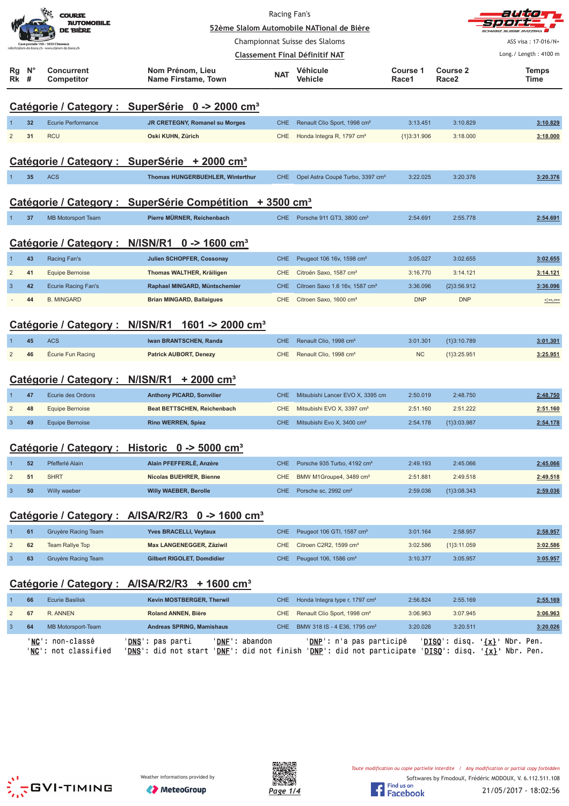|                           |                | <b>COURSE</b><br><b>AUTOMOBILE</b><br>DE BIÈRE |                                                                      | Racing Fan's | 52ème Slalom Automobile NATional de Bière    |                   |                               | autio                                                                                                                |
|---------------------------|----------------|------------------------------------------------|----------------------------------------------------------------------|--------------|----------------------------------------------|-------------------|-------------------------------|----------------------------------------------------------------------------------------------------------------------|
|                           |                | ase postale 150 - 1033 Cheseaux                |                                                                      |              | Championnat Suisse des Slaloms               |                   |                               | ASS visa: 17-016/N+                                                                                                  |
|                           |                | lo@slalom-de-biere.ch - www.slalom-de-biere.ch |                                                                      |              | <b>Classement Final Définitif NAT</b>        |                   |                               | Long./ Length: 4100 m                                                                                                |
| Rg<br>Rk                  | <b>N°</b><br># | Concurrent<br>Competitor                       | Nom Prénom, Lieu<br>Name Firstame, Town                              | <b>NAT</b>   | <b>Véhicule</b><br>Vehicle                   | Course 1<br>Race1 | Course 2<br>Race <sub>2</sub> | <b>Temps</b><br>Time                                                                                                 |
|                           |                |                                                | Catégorie / Category : SuperSérie 0 -> 2000 cm <sup>3</sup>          |              |                                              |                   |                               |                                                                                                                      |
|                           | 32             | <b>Ecurie Performance</b>                      | JR CRETEGNY, Romanel su Morges                                       | <b>CHE</b>   | Renault Clio Sport, 1998 cm <sup>3</sup>     | 3:13.451          | 3:10.829                      | 3:10.829                                                                                                             |
| $\overline{2}$            | 31             | <b>RCU</b>                                     | Oski KUHN, Zürich                                                    | CHE          | Honda Integra R, 1797 cm <sup>3</sup>        | ${1}3:31.906$     | 3:18.000                      | 3:18.000                                                                                                             |
|                           |                |                                                | Catégorie / Category : SuperSérie + 2000 cm <sup>3</sup>             |              |                                              |                   |                               |                                                                                                                      |
|                           | 35             | <b>ACS</b>                                     | Thomas HUNGERBUEHLER, Winterthur                                     | <b>CHE</b>   | Opel Astra Coupé Turbo, 3397 cm <sup>3</sup> | 3:22.025          | 3:20.376                      | 3:20.376                                                                                                             |
|                           |                |                                                | Catégorie / Category : SuperSérie Compétition + 3500 cm <sup>3</sup> |              |                                              |                   |                               |                                                                                                                      |
| -1                        | 37             | <b>MB Motorsport Team</b>                      | Pierre MÜRNER, Reichenbach                                           |              | CHE Porsche 911 GT3, 3800 cm <sup>3</sup>    | 2:54.691          | 2:55.778                      | 2:54.691                                                                                                             |
|                           |                |                                                | Catégorie / Category : N/ISN/R1 0 -> 1600 cm <sup>3</sup>            |              |                                              |                   |                               |                                                                                                                      |
|                           | 43             | Racing Fan's                                   | Julien SCHOPFER, Cossonay                                            | <b>CHE</b>   | Peugeot 106 16v, 1598 cm <sup>3</sup>        | 3:05.027          | 3:02.655                      | 3:02.655                                                                                                             |
| $\overline{2}$            | 41             | <b>Equipe Bernoise</b>                         | Thomas WALTHER, Kräiligen                                            | <b>CHE</b>   | Citroën Saxo, 1587 cm <sup>3</sup>           | 3:16.770          | 3:14.121                      | 3:14.121                                                                                                             |
| 3                         | 42             | <b>Ecurie Racing Fan's</b>                     | Raphael MINGARD, Müntschemier                                        | <b>CHE</b>   | Citroen Saxo 1.6 16v, 1587 cm <sup>3</sup>   | 3:36.096          | ${2}3:56.912$                 | 3:36.096                                                                                                             |
|                           | 44             | <b>B. MINGARD</b>                              | <b>Brian MINGARD, Ballaigues</b>                                     | <b>CHE</b>   | Citroen Saxo, 1600 cm <sup>3</sup>           | <b>DNP</b>        | <b>DNP</b>                    | <u> - 1000 - 1000 - 1000 - 1000 - 1000 - 1000 - 1000 - 1000 - 1000 - 1000 - 1000 - 1000 - 1000 - 1000 - 1000 - 1</u> |
|                           |                | Catégorie / Category : N/ISN/R1                | 1601 -> 2000 cm <sup>3</sup>                                         |              |                                              |                   |                               |                                                                                                                      |
|                           | 45             | <b>ACS</b>                                     | Iwan BRANTSCHEN, Randa                                               | <b>CHE</b>   | Renault Clio, 1998 cm <sup>3</sup>           | 3:01.301          | ${1}3:10.789$                 | 3:01.301                                                                                                             |
| $\overline{2}$            | 46             | Écurie Fun Racing                              | <b>Patrick AUBORT, Denezy</b>                                        | <b>CHE</b>   | Renault Clio, 1998 cm <sup>3</sup>           | <b>NC</b>         | ${1}3:25.951$                 | 3:25.951                                                                                                             |
|                           |                | Catégorie / Category: N/ISN/R1                 | $+2000$ cm <sup>3</sup>                                              |              |                                              |                   |                               |                                                                                                                      |
|                           | 47             | Ecurie des Ordons                              | <b>Anthony PICARD, Sonvilier</b>                                     | <b>CHE</b>   | Mitsubishi Lancer EVO X, 3395 cm             | 2:50.019          | 2:48.750                      | 2:48.750                                                                                                             |
| $\overline{2}$            | 48             | <b>Equipe Bernoise</b>                         | <b>Beat BETTSCHEN, Reichenbach</b>                                   | <b>CHE</b>   | Mitsubishi EVO X, 3397 cm <sup>3</sup>       | 2:51.160          | 2:51.222                      | 2:51.160                                                                                                             |
| $\overline{3}$            | 49             | <b>Equipe Bernoise</b>                         | <b>Rino WERREN, Spiez</b>                                            | CHE.         | Mitsubishi Evo X, 3400 cm <sup>3</sup>       | 2:54.178          | {1}3:03.987                   | 2:54.178                                                                                                             |
|                           |                |                                                | Catégorie / Category : Historic 0 -> 5000 cm <sup>3</sup>            |              |                                              |                   |                               |                                                                                                                      |
|                           | 52             | Pfefferlé Alain                                | Alain PFEFFERLÉ, Anzère                                              | <b>CHE</b>   | Porsche 935 Turbo, 4192 cm <sup>3</sup>      | 2:49.193          | 2:45.066                      | 2:45.066                                                                                                             |
| $\overline{\mathbf{c}}$   | 51             | <b>SHRT</b>                                    | Nicolas BUEHRER, Bienne                                              | CHE          | BMW M1Groupe4, 3489 cm <sup>3</sup>          | 2:51.881          | 2:49.518                      | 2:49.518                                                                                                             |
| $\ensuremath{\mathsf{3}}$ | 50             | Willy waeber                                   | <b>Willy WAEBER, Berolle</b>                                         | <b>CHE</b>   | Porsche sc, 2992 cm <sup>3</sup>             | 2:59.036          | ${1}3:08.343$                 | 2:59.036                                                                                                             |
|                           |                |                                                | Catégorie / Category : A/ISA/R2/R3 0 -> 1600 cm <sup>3</sup>         |              |                                              |                   |                               |                                                                                                                      |
| 1                         | 61             | Gruyère Racing Team                            | Yves BRACELLI, Veytaux                                               | <b>CHE</b>   | Peugeot 106 GTI, 1587 cm <sup>3</sup>        | 3:01.164          | 2:58.957                      | 2:58.957                                                                                                             |
| $\overline{c}$            | 62             | Team Rallye Top                                | Max LANGENEGGER, Zäziwil                                             | <b>CHE</b>   | Citroen C2R2, 1599 cm <sup>3</sup>           | 3:02.586          | ${1}3:11.059$                 | 3:02.586                                                                                                             |
| $\sqrt{3}$                | 63             | Gruyère Racing Team                            | Gilbert RIGOLET, Domdidier                                           | <b>CHE</b>   | Peugeot 106, 1586 cm <sup>3</sup>            | 3:10.377          | 3:05.957                      | 3:05.957                                                                                                             |
|                           |                |                                                | Catégorie / Category : A/ISA/R2/R3 + 1600 cm <sup>3</sup>            |              |                                              |                   |                               |                                                                                                                      |
| $\mathbf 1$               | 66             | <b>Ecurie Basilisk</b>                         | Kevin MOSTBERGER, Therwil                                            | <b>CHE</b>   | Honda Integra type r, 1797 cm <sup>3</sup>   | 2:56.824          | 2:55.169                      | 2:55.169                                                                                                             |
| $\overline{c}$            | 67             | R. ANNEN                                       | <b>Roland ANNEN, Bière</b>                                           | CHE          | Renault Clio Sport, 1998 cm <sup>3</sup>     | 3:06.963          | 3:07.945                      | 3:06.963                                                                                                             |
| $\mathbf{3}$              | 64             | MB Motorsport-Team                             | Andreas SPRING, Mamishaus                                            | <b>CHE</b>   | BMW 318 IS - 4 E36, 1795 cm <sup>3</sup>     | 3:20.026          | 3:20.511                      | 3:20.026                                                                                                             |
|                           |                | ' <u>NC</u> ': non-classé                      | ' <u>DNS</u> ': pas parti<br>' <b>DNF</b> ': abandon                 |              | ' <u>DNP</u> ': n'a pas participé            |                   |                               | ' <u>DISQ</u> ': disq. ' <u>{x}</u> ' Nbr. Pen.                                                                      |





'<u>NC</u>': not classified '<u>DNS</u>': did not start '<u>DNF</u>': did not finish '<u>DNP</u>': did not participate '<u>DISQ</u>': disq. '<u>{x}</u>' Nbr. Pen.

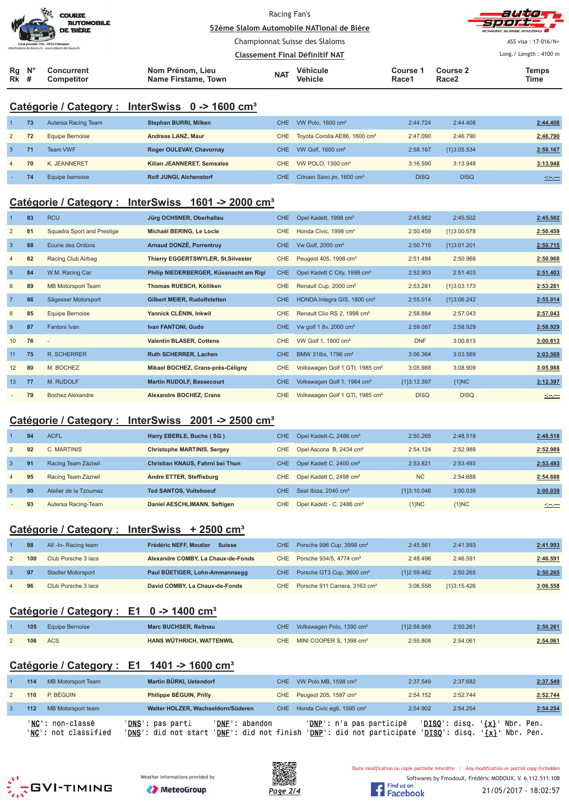|                            | <b>COLLECTION</b><br><b>COURSE</b><br><b>AUTOMOBILE</b><br><b>DE BIÈRE</b>           |                                         | Racing Fan's                   | 52ème Slalom Automobile NATional de Bière |                          |                               | autom<br><b>Sport-</b><br>SCHWEIZ SUISSE SVIZZEDA |
|----------------------------|--------------------------------------------------------------------------------------|-----------------------------------------|--------------------------------|-------------------------------------------|--------------------------|-------------------------------|---------------------------------------------------|
|                            | Case postale 150 - 1033 Cheseaux<br>info@slalom-de-biere.ch - www.slalom-de-biere.ch |                                         |                                | Championnat Suisse des Slaloms            |                          |                               | ASS visa: 17-016/N+                               |
|                            |                                                                                      |                                         | Classement Final Définitif NAT |                                           |                          |                               | Long./ Length: 4100 m                             |
| $Rg$ $N^{\circ}$<br>$Rk$ # | <b>Concurrent</b><br><b>Competitor</b>                                               | Nom Prénom, Lieu<br>Name Firstame, Town | <b>NAT</b>                     | Véhicule<br><b>Vehicle</b>                | <b>Course 1</b><br>Race1 | Course 2<br>Race <sub>2</sub> | <b>Temps</b><br>Time                              |

## **Catégorie / Category : InterSwiss 0 -> 1600 cm³**

|                | 73 | Autersa Racing Team | Stephan BURRI, Milken          | CHE | VW Polo, $1600 \text{ cm}^3$              | 2:44.724    | 2:44.408      | 2:44.408 |
|----------------|----|---------------------|--------------------------------|-----|-------------------------------------------|-------------|---------------|----------|
| 2              | 72 | Equipe Bernoise     | Andreas LANZ. Maur             | CHE | Toyota Corolla AE86, 1600 cm <sup>3</sup> | 2:47.090    | 2:46.790      | 2:46.790 |
| $\mathbf{3}$   | 71 | Team VWF            | Roger OULEVAY, Chavornay       | CHE | VW Golf, $1600 \text{ cm}^3$              | 2:58.167    | ${1}3:05.534$ | 2:58.167 |
| $\overline{4}$ | 70 | K. JEANNERET        | Kilian JEANNERET, Semsales     | CHE | VW POLO, 1300 cm <sup>3</sup>             | 3:16.590    | 3:13.948      | 3:13.948 |
|                | 74 | Equipe bernoise     | <b>Rolf JUNGI, Alchenstorf</b> | CHE | Citroen Saxo jm, 1600 cm <sup>3</sup>     | <b>DISQ</b> | <b>DISQ</b>   | alan a   |

## **Catégorie / Category : InterSwiss 1601 -> 2000 cm³**

|                | 83 | <b>RCU</b>                 | Jürg OCHSNER, Oberhallau               | CHE        | Opel Kadett, 1998 cm <sup>3</sup>           | 2:45.982      | 2:45.502      | 2:45.502 |
|----------------|----|----------------------------|----------------------------------------|------------|---------------------------------------------|---------------|---------------|----------|
| $\overline{2}$ | 81 | Squadra Sport and Prestige | Michaël BERING, Le Locle               | <b>CHE</b> | Honda Civic, 1998 cm <sup>3</sup>           | 2:50.459      | ${1}3:00.578$ | 2:50.459 |
| $\overline{3}$ | 88 | Ecurie des Ordons          | <b>Arnaud DONZÉ, Porrentruy</b>        | CHE        | Vw Golf, 2000 cm <sup>3</sup>               | 2:50.715      | ${1}3:01.201$ | 2:50.715 |
| $\overline{4}$ | 82 | Racing Club Airbag         | Thierry EGGERTSWYLER, St.Silvester     | <b>CHE</b> | Peugeot 405, 1998 cm <sup>3</sup>           | 2:51.494      | 2:50.968      | 2:50.968 |
| 5              | 84 | W.M. Racing Car            | Philip NIEDERBERGER, Küssnacht am Rigi | CHE.       | Opel Kadett C City, 1998 cm <sup>3</sup>    | 2:52.903      | 2:51.403      | 2:51.403 |
| 6              | 89 | <b>MB Motorsport Team</b>  | Thomas RUESCH, Kölliken                | CHE        | Renault Cup, 2000 cm <sup>3</sup>           | 2:53.281      | ${1}3:03.173$ | 2:53.281 |
| $\overline{7}$ | 86 | Sägesser Motorsport        | <b>Gilbert MEIER, Rudolfstetten</b>    | <b>CHE</b> | HONDA Integra GIS, 1800 cm <sup>3</sup>     | 2:55.014      | ${1}3:06.242$ | 2:55.014 |
| 8              | 85 | Equipe Bernoise            | Yannick CLÉNIN, Inkwil                 | <b>CHE</b> | Renault Clio RS 2, 1998 cm <sup>3</sup>     | 2:58.884      | 2:57.043      | 2:57.043 |
| 9              | 87 | Fantoni Ivan               | Ivan FANTONI, Gudo                     | CHE.       | Vw golf 1 8v, 2000 cm <sup>3</sup>          | 2:59.087      | 2:58.929      | 2:58.929 |
| 10             | 76 | $\overline{\phantom{a}}$   | <b>Valentin BLASER, Cottens</b>        | CHE        | VW Golf 1, 1800 cm <sup>3</sup>             | <b>DNF</b>    | 3:00.813      | 3:00.813 |
| 11             | 75 | <b>R. SCHERRER</b>         | <b>Ruth SCHERRER, Lachen</b>           | CHE        | BMW 318is, 1796 cm <sup>3</sup>             | 3:06.364      | 3:03.569      | 3:03.569 |
| 12             | 80 | M. BOCHEZ                  | Mikael BOCHEZ, Crans-près-Céligny      | <b>CHE</b> | Volkswagen Golf 1 GTI, 1985 cm <sup>3</sup> | 3:05.988      | 3:08.909      | 3:05.988 |
| 13             | 77 | M. RUDOLF                  | <b>Martin RUDOLF, Bassecourt</b>       | <b>CHE</b> | Volkswagen Golf 1, 1984 cm <sup>3</sup>     | ${13:12.397}$ | ${1}NC$       | 3:12.397 |
|                | 79 | Bochez Alexandre           | <b>Alexandre BOCHEZ, Crans</b>         | <b>CHE</b> | Volkswagen Golf 1 GTI, 1985 cm <sup>3</sup> | <b>DISQ</b>   | <b>DISQ</b>   | مسرمين   |

#### **Catégorie / Category : InterSwiss 2001 -> 2500 cm³**

|                          | 94 | <b>ACFL</b>           | Harry EBERLE, Buchs (SG)           | <b>CHE</b> | Opel Kadett-C, 2486 cm <sup>3</sup>     | 2:50.265      | 2:48.518 | 2:48.518     |
|--------------------------|----|-----------------------|------------------------------------|------------|-----------------------------------------|---------------|----------|--------------|
| 2                        | 92 | C. MARTINIS           | <b>Christophe MARTINIS, Sergey</b> |            | CHE Opel Ascona B, 2434 cm <sup>3</sup> | 2:54.124      | 2:52.989 | 2:52.989     |
| 3                        | 91 | Racing Team Zäziwil   | Christian KNAUS, Fahrni bei Thun   | CHE.       | Opel Kadett C, 2400 cm <sup>3</sup>     | 2:53.821      | 2:53.493 | 2:53.493     |
| $\overline{4}$           | 95 | Racing Team Zäziwil   | Andre ETTER, Steffisburg           | CHE        | Opel Kadett C, 2498 cm <sup>3</sup>     | <b>NC</b>     | 2:54.688 | 2:54.688     |
| -5                       | 90 | Atelier de la Tzoumaz | <b>Ted SANTOS, Vuiteboeuf</b>      | CHE.       | Seat Ibiza, 2040 cm <sup>3</sup>        | ${13:10.046}$ | 3:00.039 | 3:00.039     |
| $\overline{\phantom{a}}$ | 93 | Autersa Racing-Team   | Daniel AESCHLIMANN, Seftigen       | CHE        | Opel Kadett - C, 2486 cm <sup>3</sup>   | $1$ }NC       | ${1}NC$  | <u>rimen</u> |

## **Catégorie / Category : InterSwiss + 2500 cm³**

|              | 98  | All -In- Racing team      | Frédéric NEFF. Moutier<br><b>Suisse</b> | CHE Porsche 996 Cup, 3998 cm <sup>3</sup>     | 2:45.561      | 2:41.993      | 2:41.993 |
|--------------|-----|---------------------------|-----------------------------------------|-----------------------------------------------|---------------|---------------|----------|
|              | 100 | Club Porsche 3 lacs       | Alexandre COMBY, La Chaux-de-Fonds      | CHE Porsche 934/5, 4774 cm <sup>3</sup>       | 2:48.496      | 2:46.591      | 2:46.591 |
| $\mathbf{3}$ | 97  | <b>Stadler Motorsport</b> | Paul BÜETIGER, Lohn-Ammannsegg          | CHE Porsche GT3 Cup, 3600 cm <sup>3</sup>     | ${1}2:59.462$ | 2:50.265      | 2:50.265 |
|              | 96  | Club Porsche 3 lacs       | David COMBY, La Chaux-de-Fonds          | CHE Porsche 911 Carrera, 3163 cm <sup>3</sup> | 3:06.558      | ${1}3:15.426$ | 3:06.558 |

## **Catégorie / Category : E1 0 -> 1400 cm³**

|  | <b>105</b> Equipe Bernoise | Marc BUCHSER, Reitnau    | CHE Volkswagen Polo, 1390 cm <sup>3</sup> | ${112:58.869}$ | 2:50.261 | 2:50.261 |
|--|----------------------------|--------------------------|-------------------------------------------|----------------|----------|----------|
|  | <b>106</b> ACS             | HANS WÜTHRICH, WATTENWIL | CHE MINI COOPER S. 1398 cm <sup>3</sup>   | 2:55.808       | 2:54.061 | 2:54.061 |

# **Catégorie / Category : E1 1401 -> 1600 cm³**

| 114 | MB Motorsport Team                       | Martin BÜRKI, Uetendorf                           |                                         | CHE VW Polo MB, 1598 cm <sup>3</sup>                   | 2:37.549      | 2:37.682                                          |           | 2:37.549 |
|-----|------------------------------------------|---------------------------------------------------|-----------------------------------------|--------------------------------------------------------|---------------|---------------------------------------------------|-----------|----------|
| 110 | P. BÉGUIN                                | Philippe BÉGUIN, Prilly                           |                                         | CHE Peugeot 205, 1587 cm <sup>3</sup>                  | 2:54.152      | 2:52.744                                          |           | 2:52.744 |
| 112 | MB Motorsport team                       | Walter HOLZER, Wachseldorn/Süderen                |                                         | CHE Honda Civic eg6, 1595 cm <sup>3</sup>              | 2:54.902      | 2:54.254                                          |           | 2:54.254 |
|     | 'NC': non-classé<br>'NC': not classified | ' <b>DNS</b> ': pas parti<br>'DNS': did not start | 'DNF': abandon<br>'DNF': did not finish | 'DNP': n'a pas participé<br>'DNP': did not participate | 'DISO': disq. | $\{x\}$<br>'DISQ': disq. ' <u>{x}</u> ' Nbr. Pen. | Nbr. Pen. |          |





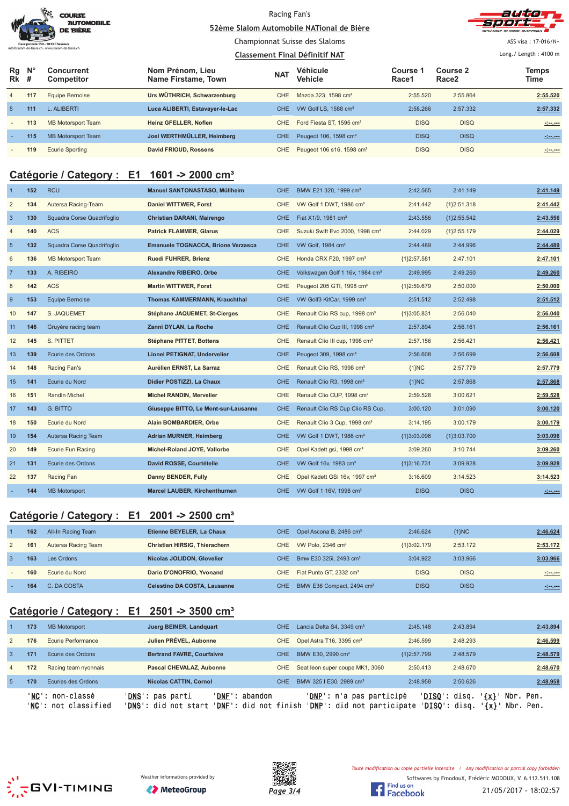|                                                  | <b>COURSE</b><br><b>AUTOMOBILE</b><br><b>DE BIÈRE</b> |
|--------------------------------------------------|-------------------------------------------------------|
| Case postale 150 - 1033 Cheseaux                 |                                                       |
| info@slalom-de-biere.ch - www.slalom-de-biere.ch |                                                       |

#### Racing Fan's <u>**S2ème Slalom Automobile NATional de Bière**</u>



ASS visa : 17-016/N+ Long./ Length: 4100 m

#### Championnat Suisse des Slaloms

|                            |     |                                 |                                         |            | Classement Final Définitif NAT        |                   |                               | Long./ Length: 4100 m                                                                                                |
|----------------------------|-----|---------------------------------|-----------------------------------------|------------|---------------------------------------|-------------------|-------------------------------|----------------------------------------------------------------------------------------------------------------------|
| $Rg$ $N^{\circ}$<br>$Rk$ # |     | Concurrent<br><b>Competitor</b> | Nom Prénom, Lieu<br>Name Firstame, Town | <b>NAT</b> | Véhicule<br><b>Vehicle</b>            | Course 1<br>Race1 | Course 2<br>Race <sub>2</sub> | Temps<br>Time                                                                                                        |
| $\overline{4}$             | 117 | <b>Equipe Bernoise</b>          | Urs WÜTHRICH, Schwarzenburg             | <b>CHE</b> | Mazda 323, 1598 cm <sup>3</sup>       | 2:55.520          | 2:55.864                      | 2:55.520                                                                                                             |
| 5 <sup>5</sup>             | 111 | L. ALIBERTI                     | Luca ALIBERTI, Estavayer-le-Lac         | <b>CHE</b> | VW Golf LS. 1588 cm <sup>3</sup>      | 2:58.266          | 2:57.332                      | 2:57.332                                                                                                             |
| $\sim$                     | 113 | MB Motorsport Team              | Heinz GFELLER. Noflen                   | CHE.       | Ford Fiesta ST, 1595 cm <sup>3</sup>  | <b>DISQ</b>       | <b>DISQ</b>                   | <u>Sec.</u>                                                                                                          |
| ۰.                         | 115 | <b>MB Motorsport Team</b>       | Joel WERTHMÜLLER, Heimberg              | <b>CHE</b> | Peugeot 106, 1598 cm <sup>3</sup>     | <b>DISQ</b>       | <b>DISQ</b>                   | $20 - 20$                                                                                                            |
| $\overline{\phantom{a}}$   | 119 | <b>Ecurie Sporting</b>          | David FRIOUD, Rossens                   | <b>CHE</b> | Peugeot 106 s16, 1598 cm <sup>3</sup> | <b>DISQ</b>       | <b>DISQ</b>                   | <u> 1992 - 1993 - 1994 - 1994 - 1994 - 1994 - 1994 - 1994 - 1994 - 1994 - 1994 - 1994 - 1994 - 1994 - 1994 - 199</u> |

## **Catégorie / Category : E1 1601 -> 2000 cm³**

|                 | 152 | <b>RCU</b>                 | Manuel SANTONASTASO, Müllheim        | <b>CHE</b> | BMW E21 320, 1999 cm <sup>3</sup>           | 2:42.565      | 2:41.149      | 2:41.149 |
|-----------------|-----|----------------------------|--------------------------------------|------------|---------------------------------------------|---------------|---------------|----------|
| $\overline{2}$  | 134 | Autersa Racing-Team        | <b>Daniel WITTWER, Forst</b>         | <b>CHE</b> | VW Golf 1 DWT, 1986 cm <sup>3</sup>         | 2:41.442      | ${1}2:51.318$ | 2:41.442 |
| $\mathbf{3}$    | 130 | Squadra Corse Quadrifoglio | <b>Christian DARANI, Mairengo</b>    | <b>CHE</b> | Fiat X1/9, 1981 cm <sup>3</sup>             | 2:43.556      | ${12:55.542}$ | 2:43.556 |
| 4               | 140 | <b>ACS</b>                 | <b>Patrick FLAMMER, Glarus</b>       | <b>CHE</b> | Suzuki Swift Evo 2000, 1998 cm <sup>3</sup> | 2:44.029      | ${1}2:55.179$ | 2:44.029 |
| $5\phantom{.0}$ | 132 | Squadra Corse Quadrifoglio | Emanuele TOGNACCA, Brione Verzasca   | <b>CHE</b> | VW Golf, 1984 cm <sup>3</sup>               | 2:44.489      | 2:44.996      | 2:44.489 |
| 6               | 136 | <b>MB Motorsport Team</b>  | Ruedi FUHRER, Brienz                 | <b>CHE</b> | Honda CRX F20, 1997 cm <sup>3</sup>         | {1}2:57.581   | 2:47.101      | 2:47.101 |
| $\overline{7}$  | 133 | A. RIBEIRO                 | Alexandre RIBEIRO, Orbe              | <b>CHE</b> | Volkswagen Golf 1 16v, 1984 cm <sup>3</sup> | 2:49.995      | 2:49.260      | 2:49.260 |
| 8               | 142 | <b>ACS</b>                 | <b>Martin WITTWER, Forst</b>         | <b>CHE</b> | Peugeot 205 GTI, 1998 cm <sup>3</sup>       | {1}2:59.679   | 2:50.000      | 2:50.000 |
| 9               | 153 | <b>Equipe Bernoise</b>     | <b>Thomas KAMMERMANN, Krauchthal</b> | <b>CHE</b> | VW Golf3 KitCar, 1999 cm <sup>3</sup>       | 2:51.512      | 2:52.498      | 2:51.512 |
| 10              | 147 | S. JAQUEMET                | Stéphane JAQUEMET, St-Cierges        | <b>CHE</b> | Renault Clio RS cup, 1998 cm <sup>3</sup>   | {1}3:05.831   | 2:56.040      | 2:56.040 |
| 11              | 146 | Gruyère racing team        | Zanni DYLAN, La Roche                | <b>CHE</b> | Renault Clio Cup III, 1998 cm <sup>3</sup>  | 2:57.894      | 2:56.161      | 2:56.161 |
| 12              | 145 | S. PITTET                  | Stéphane PITTET, Bottens             | <b>CHE</b> | Renault Clio III cup, 1998 cm <sup>3</sup>  | 2:57.156      | 2:56.421      | 2:56.421 |
| 13              | 139 | Ecurie des Ordons          | Lionel PETIGNAT, Undervelier         | <b>CHE</b> | Peugeot 309, 1998 cm <sup>3</sup>           | 2:56.608      | 2:56.699      | 2:56.608 |
| 14              | 148 | Racing Fan's               | Aurélien ERNST, La Sarraz            | <b>CHE</b> | Renault Clio RS, 1998 cm <sup>3</sup>       | ${1}NC$       | 2:57.779      | 2:57.779 |
| 15              | 141 | Ecurie du Nord             | Didier POSTIZZI, La Chaux            | <b>CHE</b> | Renault Clio R3, 1998 cm <sup>3</sup>       | ${1}NC$       | 2:57.868      | 2:57.868 |
| 16              | 151 | Randin Michel              | Michel RANDIN, Mervelier             | CHE        | Renault Clio CUP, 1998 cm <sup>3</sup>      | 2:59.528      | 3:00.621      | 2:59.528 |
| 17              | 143 | <b>G. BITTO</b>            | Giuseppe BITTO, Le Mont-sur-Lausanne | <b>CHE</b> | Renault Clio RS Cup Clio RS Cup,            | 3:00.120      | 3:01.090      | 3:00.120 |
| 18              | 150 | Ecurie du Nord             | Alain BOMBARDIER, Orbe               | <b>CHE</b> | Renault Clio 3 Cup, 1998 cm <sup>3</sup>    | 3:14.195      | 3:00.179      | 3:00.179 |
| 19              | 154 | Autersa Racing Team        | <b>Adrian MURNER, Heimberg</b>       | <b>CHE</b> | VW Golf 1 DWT, 1986 cm <sup>3</sup>         | {1}3:03.096   | {1}3:03.700   | 3:03.096 |
| 20              | 149 | <b>Ecurie Fun Racing</b>   | Michel-Roland JOYE, Vallorbe         | <b>CHE</b> | Opel Kadett gsi, 1998 cm <sup>3</sup>       | 3:09.260      | 3:10.744      | 3:09.260 |
| 21              | 131 | Ecurie des Ordons          | David ROSSE, Courtételle             | <b>CHE</b> | VW Golf 16v, 1983 cm <sup>3</sup>           | ${13:16.731}$ | 3:09.928      | 3:09.928 |
| 22              | 137 | Racing Fan                 | Danny BENDER, Fully                  | <b>CHE</b> | Opel Kadett GSi 16v, 1997 cm <sup>3</sup>   | 3:16.609      | 3:14.523      | 3:14.523 |
|                 | 144 | <b>MB Motorsport</b>       | <b>Marcel LAUBER, Kirchenthurnen</b> | <b>CHE</b> | VW Golf 1 16V, 1998 cm <sup>3</sup>         | <b>DISQ</b>   | <b>DISQ</b>   |          |

#### **Catégorie / Category : E1 2001 -> 2500 cm³**

|   | 162 | All-In Racing Team  | Etienne BEYELER, La Chaux            | CHE | Opel Ascona B, 2486 cm <sup>3</sup>   | 2:46.624      | ${1}MC$     | 2:46.624            |
|---|-----|---------------------|--------------------------------------|-----|---------------------------------------|---------------|-------------|---------------------|
| 2 | 161 | Autersa Racing Team | <b>Christian HIRSIG. Thierachern</b> | CHE | VW Polo, $2346 \text{ cm}^3$          | ${13:02.179}$ | 2:53.172    | 2:53.172            |
|   | 163 | Les Ordons          | Nicolas JOLIDON, Glovelier           | CHE | Bmw E30 325i, 2493 cm <sup>3</sup>    | 3:04.922      | 3:03.966    | 3:03.966            |
|   | 160 | Ecurie du Nord      | Dario D'ONOFRIO, Yvonand             | CHE | Fiat Punto GT, 2332 cm <sup>3</sup>   | <b>DISQ</b>   | <b>DISQ</b> | <u> 1919 - 1919</u> |
|   | 164 | C. DA COSTA         | <b>Celestino DA COSTA, Lausanne</b>  | CHE | BMW E36 Compact, 2494 cm <sup>3</sup> | <b>DISQ</b>   | <b>DISQ</b> | <b>Simpson</b>      |

## **Catégorie / Category : E1 2501 -> 3500 cm³**

|                |     | 'NC': non-classé<br>'NC': not classified | 'DNF': abandon<br>' <b>DNS':</b> pas parti<br>' <b>DNS</b> ': did not start | 'DNF': did not finish | ' <b>DNP</b> ': n'a pas participé<br>' <b>DNP</b> ': did not participate | ' <b>DISO</b> ': disq. | $\{x\}$<br>' <b>DISO</b> ': disq.<br>'{x}' | Nbr. Pen.<br>Nbr. Pen. |
|----------------|-----|------------------------------------------|-----------------------------------------------------------------------------|-----------------------|--------------------------------------------------------------------------|------------------------|--------------------------------------------|------------------------|
| -5             | 170 | Ecuries des Ordons                       | Nicolas CATTIN, Cornol                                                      | CHE.                  | BMW 325   E30, 2989 cm <sup>3</sup>                                      | 2:48.958               | 2:50.626                                   | 2:48.958               |
| $\overline{4}$ | 172 | Racing team nyonnais                     | Pascal CHEVALAZ, Aubonne                                                    | CHE                   | Seat leon super coupe MK1, 3060                                          | 2:50.413               | 2:48.670                                   | 2:48.670               |
| $\mathbf{3}$   | 171 | Ecurie des Ordons                        | <b>Bertrand FAVRE, Courfaivre</b>                                           | CHE.                  | BMW E30, 2990 cm <sup>3</sup>                                            | ${1}2:57.799$          | 2:48.579                                   | 2:48.579               |
| $\overline{2}$ | 176 | Ecurie Performance                       | Julien PRÉVEL, Aubonne                                                      | CHE                   | Opel Astra T16, 3395 cm <sup>3</sup>                                     | 2:46.599               | 2:48.293                                   | 2:46.599               |
|                | 173 | <b>MB Motorsport</b>                     | Juerg BEINER, Landquart                                                     | <b>CHE</b>            | Lancia Delta S4, 3349 cm <sup>3</sup>                                    | 2:45.148               | 2:43.894                                   | 2:43.894               |
|                |     |                                          |                                                                             |                       |                                                                          |                        |                                            |                        |





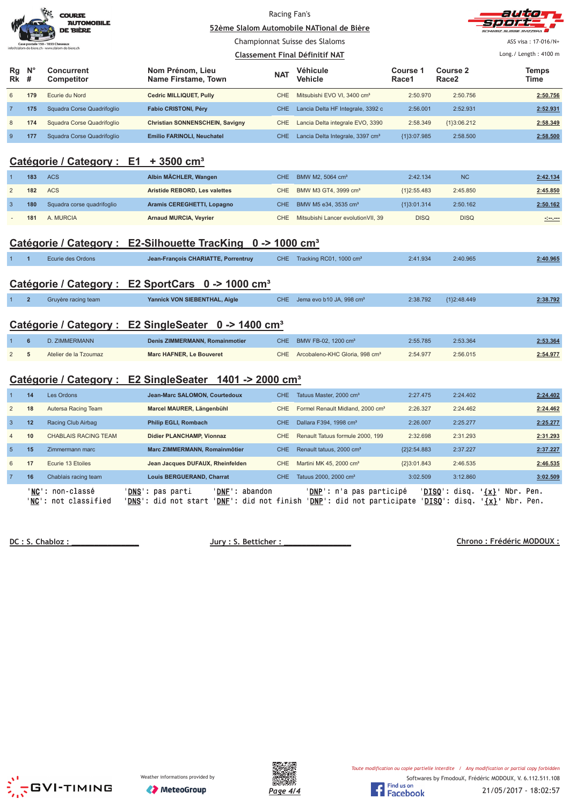|                                                  |                  | <b>COURSE</b><br><b>AUTOMOBILE</b><br>DE BIÈRE<br>postale 150 - 1033 Cheseaux<br>n-de-biere ch - www slalom-de-biere ch | 52ème Slalom Automobile NATional de Bière                               | Racing Fan's<br>Championnat Suisse des Slaloms<br><b>Classement Final Définitif NAT</b> |                                              |                   | 31. E 201<br>ASS visa: 17-016/N+<br>Long./ Length: 4100 m |                      |  |
|--------------------------------------------------|------------------|-------------------------------------------------------------------------------------------------------------------------|-------------------------------------------------------------------------|-----------------------------------------------------------------------------------------|----------------------------------------------|-------------------|-----------------------------------------------------------|----------------------|--|
| Rg<br><b>Rk</b>                                  | $N^{\circ}$<br># | <b>Concurrent</b><br>Competitor                                                                                         | Nom Prénom, Lieu<br>Name Firstame, Town                                 | <b>NAT</b>                                                                              | Véhicule<br><b>Vehicle</b>                   | Course 1<br>Race1 | Course 2<br>Race <sub>2</sub>                             | <b>Temps</b><br>Time |  |
| 6                                                | 179              | Ecurie du Nord                                                                                                          | <b>Cedric MILLIQUET, Pully</b>                                          | CHE                                                                                     | Mitsubishi EVO VI, 3400 cm <sup>3</sup>      | 2:50.970          | 2:50.756                                                  | 2:50.756             |  |
| $\overline{7}$                                   | 175              | Squadra Corse Quadrifoglio                                                                                              | <b>Fabio CRISTONI, Péry</b>                                             | <b>CHE</b>                                                                              | Lancia Delta HF Integrale, 3392 c            | 2:56.001          | 2:52.931                                                  | 2:52.931             |  |
| $\,$ 8 $\,$                                      | 174              | Squadra Corse Quadrifoglio                                                                                              | Christian SONNENSCHEIN, Savigny                                         | CHE                                                                                     | Lancia Delta integrale EVO, 3390             | 2:58.349          | ${1}3:06.212$                                             | 2:58.349             |  |
| $\overline{9}$                                   | 177              | Squadra Corse Quadrifoglio                                                                                              | Emilio FARINOLI, Neuchatel                                              | <b>CHE</b>                                                                              | Lancia Delta Integrale, 3397 cm <sup>3</sup> | {1}3:07.985       | 2:58.500                                                  | 2:58.500             |  |
| Catégorie / Category : E1 + 3500 cm <sup>3</sup> |                  |                                                                                                                         |                                                                         |                                                                                         |                                              |                   |                                                           |                      |  |
|                                                  | 183              | <b>ACS</b>                                                                                                              | Albin MÄCHLER, Wangen                                                   | <b>CHE</b>                                                                              | BMW M2, 5064 cm <sup>3</sup>                 | 2:42.134          | <b>NC</b>                                                 | 2:42.134             |  |
| $\overline{2}$                                   | 182              | <b>ACS</b>                                                                                                              | Aristide REBORD, Les valettes                                           | CHE                                                                                     | BMW M3 GT4, 3999 cm <sup>3</sup>             | ${1}2:55.483$     | 2:45.850                                                  | 2:45.850             |  |
| $\overline{3}$                                   | 180              | Squadra corse quadrifoglio                                                                                              | Aramis CEREGHETTI, Lopagno                                              | <b>CHE</b>                                                                              | BMW M5 e34, 3535 cm <sup>3</sup>             | {1}3:01.314       | 2:50.162                                                  | 2:50.162             |  |
|                                                  | 181              | A. MURCIA                                                                                                               | <b>Arnaud MURCIA, Veyrier</b>                                           | CHE                                                                                     | Mitsubishi Lancer evolution VII, 39          | <b>DISQ</b>       | <b>DISQ</b>                                               |                      |  |
|                                                  |                  |                                                                                                                         | Catégorie / Category : E2-Silhouette TracKing 0 -> 1000 cm <sup>3</sup> |                                                                                         |                                              |                   |                                                           |                      |  |
|                                                  | $\overline{1}$   | Ecurie des Ordons                                                                                                       | Jean-François CHARIATTE, Porrentruy                                     |                                                                                         | CHE Tracking RC01, 1000 cm <sup>3</sup>      | 2:41.934          | 2:40.965                                                  | 2:40.965             |  |
|                                                  |                  |                                                                                                                         | Catégorie / Category : E2 SportCars 0 -> 1000 cm <sup>3</sup>           |                                                                                         |                                              |                   |                                                           |                      |  |
|                                                  | $\overline{2}$   | Gruyère racing team                                                                                                     | Yannick VON SIEBENTHAL, Aigle                                           | <b>CHE</b>                                                                              | Jema evo b10 JA, 998 cm <sup>3</sup>         | 2:38.792          | {1}2:48.449                                               | 2:38.792             |  |
|                                                  |                  |                                                                                                                         | Catégorie / Category : E2 SingleSeater 0 -> 1400 cm <sup>3</sup>        |                                                                                         |                                              |                   |                                                           |                      |  |
|                                                  | $\bf 6$          | D. ZIMMERMANN                                                                                                           | Denis ZIMMERMANN, Romainmotier                                          | <b>CHE</b>                                                                              | BMW FB-02, 1200 cm <sup>3</sup>              | 2:55.785          | 2:53.364                                                  | 2:53.364             |  |
| $\overline{2}$                                   | 5                | Atelier de la Tzoumaz                                                                                                   | <b>Marc HAFNER, Le Bouveret</b>                                         | <b>CHE</b>                                                                              | Arcobaleno-KHC Gloria, 998 cm <sup>3</sup>   | 2:54.977          | 2:56.015                                                  | 2:54.977             |  |
|                                                  |                  |                                                                                                                         | Catégorie / Category : E2 SingleSeater 1401 -> 2000 cm <sup>3</sup>     |                                                                                         |                                              |                   |                                                           |                      |  |
| $\mathbf{1}$                                     | 14               | Les Ordons                                                                                                              | Jean-Marc SALOMON, Courtedoux                                           | <b>CHE</b>                                                                              | Tatuus Master, 2000 cm <sup>3</sup>          | 2:27.475          | 2:24.402                                                  | 2:24.402             |  |
| $\overline{2}$                                   | 18               | Autersa Racing Team                                                                                                     | Marcel MAURER, Längenbühl                                               | <b>CHE</b>                                                                              | Formel Renault Midland, 2000 cm <sup>3</sup> | 2:26.327          | 2:24.462                                                  | 2:24.462             |  |
| $\overline{3}$                                   | 12               | Racing Club Airbag                                                                                                      | Philip EGLI, Rombach                                                    | <b>CHE</b>                                                                              | Dallara F394, 1998 cm <sup>3</sup>           | 2:26.007          | 2:25.277                                                  | 2:25.277             |  |
| $\overline{4}$                                   | 10               | <b>CHABLAIS RACING TEAM</b>                                                                                             | Didier PLANCHAMP, Vionnaz                                               | CHE                                                                                     | Renault Tatuus formule 2000, 199             | 2:32.698          | 2:31.293                                                  | 2:31.293             |  |
| $\overline{5}$                                   | 15               | Zimmermann marc                                                                                                         | Marc ZIMMERMANN, Romainmôtier                                           | <b>CHE</b>                                                                              | Renault tatuus, 2000 cm <sup>3</sup>         | ${2}2:54.883$     | 2:37.227                                                  | 2:37.227             |  |
| 6                                                | 17               | Ecurie 13 Etoiles                                                                                                       | Jean Jacques DUFAUX, Rheinfelden                                        | CHE                                                                                     | Martini MK 45, 2000 cm <sup>3</sup>          | ${2}3:01.843$     | 2:46.535                                                  | 2:46.535             |  |
| $\overline{7}$                                   | 16               | Chablais racing team                                                                                                    | Louis BERGUERAND, Charrat                                               | <b>CHE</b>                                                                              | Tatuus 2000, 2000 cm <sup>3</sup>            | 3:02.509          | 3:12.860                                                  | 3:02.509             |  |

DC: S. Chabloz:

**Jury: S. Betticher:** 

'<u>NC</u>': non-classé '<u>DNS</u>': pas parti '<u>DNF</u>': abandon '<u>DNP</u>': n'a pas participé '<u>DISQ</u>': disq. '<u>{x}</u>' Nbr. Pen. '<u>NC</u>': not classified '<u>DNS</u>': did not start '<u>DNF</u>': did not finish '<u>DNP</u>': did not participate '<u>DISQ</u>': disq. '<u>{x}</u>' Nbr. Pen.

 **#\$%%&'**







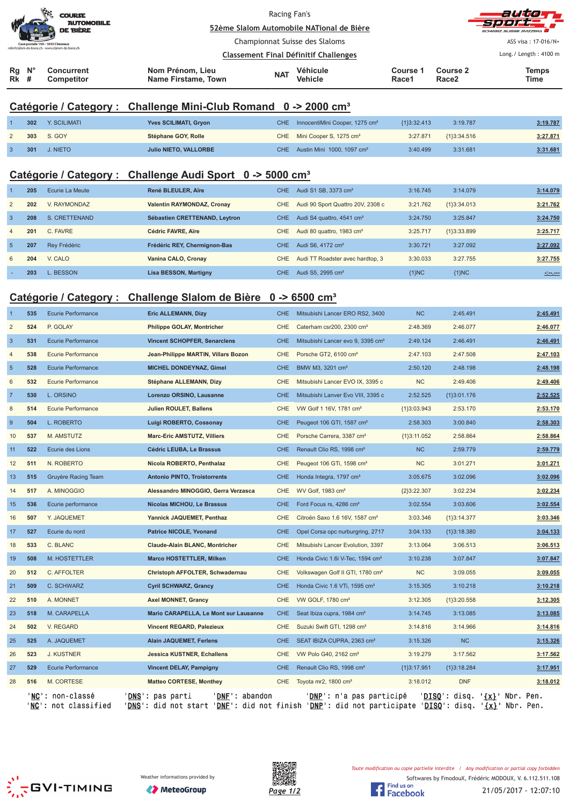| $N^{\circ}$<br>Rg<br><b>Rk</b> # | <b>Concurrent</b><br><b>Competitor</b>                                               | Nom Prénom, Lieu<br>Name Firstame, Town      | <b>NAT</b>                                                                  | Véhicule<br><b>Vehicle</b> | Course 1<br>Race1 | Course 2<br>Race <sub>2</sub> | <b>Temps</b><br>Time                         |
|----------------------------------|--------------------------------------------------------------------------------------|----------------------------------------------|-----------------------------------------------------------------------------|----------------------------|-------------------|-------------------------------|----------------------------------------------|
|                                  | Case postale 150 - 1033 Cheseaux<br>info@slalom-de-biere.ch - www.slalom-de-biere.ch | <b>Classement Final Définitif Challenges</b> |                                                                             |                            |                   |                               | ASS visa: 17-016/N+<br>Long./ Length: 4100 m |
|                                  | <b>AUTOMOBILE</b><br><b>DE BIÈRE</b>                                                 |                                              | 52ème Slalom Automobile NATional de Bière<br>Championnat Suisse des Slaloms |                            |                   |                               |                                              |
|                                  | $\mathcal{L}$<br><b>COURSE</b>                                                       | Racing Fan's                                 |                                                                             |                            |                   |                               | auto<br>sport                                |

#### **Catégorie / Category : Challenge Mini-Club Romand 0 -> 2000 cm³**

| 302 | Y. SCILIMATI        | Yves SCILIMATI, Gryon        | CHE InnocentiMini Cooper, 1275 cm <sup>3</sup> | ${13:32.413}$ | 3:19.787    | 3:19.787 |
|-----|---------------------|------------------------------|------------------------------------------------|---------------|-------------|----------|
|     | 303 S. GOY          | Stéphane GOY, Rolle          | CHE Mini Cooper S, 1275 cm <sup>3</sup>        | 3:27.871      | {1}3:34.516 | 3:27.871 |
|     | <b>301 J. NIETO</b> | <b>Julio NIETO, VALLORBE</b> | CHE Austin Mini 1000, 1097 cm <sup>3</sup>     | 3:40.499      | 3:31.681    | 3:31.681 |

## **Catégorie / Category : Challenge Audi Sport 0 -> 5000 cm³**

|                | 205 | Ecurie La Meute | René BLEULER, Aïre            | CHE. | Audi S1 SB, 3373 cm <sup>3</sup>      | 3:16.745 | 3:14.079      | 3:14.079         |
|----------------|-----|-----------------|-------------------------------|------|---------------------------------------|----------|---------------|------------------|
| 2              | 202 | V. RAYMONDAZ    | Valentin RAYMONDAZ, Cronay    | CHE. | Audi 90 Sport Quattro 20V, 2308 c     | 3:21.762 | ${1}3:34.013$ | 3:21.762         |
| 3              | 208 | S. CRETTENAND   | Sébastien CRETTENAND, Leytron | CHE. | Audi S4 quattro, 4541 cm <sup>3</sup> | 3:24.750 | 3:25.847      | 3:24.750         |
| $\overline{4}$ | 201 | C. FAVRE        | Cédric FAVRE, Aïre            | CHE. | Audi 80 quattro, 1983 cm <sup>3</sup> | 3:25.717 | ${1}3:33.899$ | 3:25.717         |
| -5             | 207 | Rev Frédéric    | Frédéric REY, Chermignon-Bas  | CHE. | Audi S6, 4172 cm <sup>3</sup>         | 3:30.721 | 3:27.092      | 3:27.092         |
| 6              | 204 | V. CALO         | Vanina CALO, Cronay           | CHE. | Audi TT Roadster avec hardtop, 3      | 3:30.033 | 3:27.755      | 3:27.755         |
|                | 203 | L. BESSON       | Lisa BESSON, Martigny         | CHE. | Audi S5, 2995 cm <sup>3</sup>         | ${1}NC$  | ${1}NC$       | $-1 - 1 - 1 - 1$ |

#### **Catégorie / Category : Challenge Slalom de Bière 0 -> 6500 cm³**

|                | 535 | Ecurie Performance                       | <b>Eric ALLEMANN, Dizy</b>                                                                                                                    | CHE        | Mitsubishi Lancer ERO RS2, 3400               | <b>NC</b>     | 2:45.491      |                          | 2:45.491 |
|----------------|-----|------------------------------------------|-----------------------------------------------------------------------------------------------------------------------------------------------|------------|-----------------------------------------------|---------------|---------------|--------------------------|----------|
| $\overline{2}$ | 524 | P. GOLAY                                 | <b>Philippe GOLAY, Montricher</b>                                                                                                             | <b>CHE</b> | Caterham csr200, 2300 cm <sup>3</sup>         | 2:48.369      | 2:46.077      |                          | 2:46.077 |
| $\overline{3}$ | 531 | Ecurie Performance                       | <b>Vincent SCHOPFER, Senarclens</b>                                                                                                           | <b>CHE</b> | Mitsubishi Lancer evo 9, 3395 cm <sup>3</sup> | 2:49.124      | 2:46.491      |                          | 2:46.491 |
| $\overline{4}$ | 538 | <b>Ecurie Performance</b>                | Jean-Philippe MARTIN, Villars Bozon                                                                                                           | CHE        | Porsche GT2, 6100 cm <sup>3</sup>             | 2:47.103      | 2:47.508      |                          | 2:47.103 |
| 5              | 528 | Ecurie Performance                       | <b>MICHEL DONDEYNAZ, Gimel</b>                                                                                                                | CHE.       | BMW M3, 3201 cm <sup>3</sup>                  | 2:50.120      | 2:48.198      |                          | 2:48.198 |
| 6              | 532 | <b>Ecurie Performance</b>                | Stéphane ALLEMANN, Dizy                                                                                                                       | <b>CHE</b> | Mitsubishi Lancer EVO IX, 3395 c              | <b>NC</b>     | 2:49.406      |                          | 2:49.406 |
| $\overline{7}$ | 530 | L. ORSINO                                | Lorenzo ORSINO, Lausanne                                                                                                                      | CHE.       | Mitsubishi Lanver Evo VIII, 3395 c            | 2:52.525      | ${1}3:01.176$ |                          | 2:52.525 |
| 8              | 514 | Ecurie Performance                       | <b>Julien ROULET, Ballens</b>                                                                                                                 | CHE        | VW Golf 1 16V, 1781 cm <sup>3</sup>           | ${1}3:03.943$ | 2:53.170      |                          | 2:53.170 |
| 9              | 504 | L. ROBERTO                               | Luigi ROBERTO, Cossonay                                                                                                                       | <b>CHE</b> | Peugeot 106 GTI, 1587 cm <sup>3</sup>         | 2:58.303      | 3:00.840      |                          | 2:58.303 |
| 10             | 537 | M. AMSTUTZ                               | Marc-Eric AMSTUTZ, Villiers                                                                                                                   | <b>CHE</b> | Porsche Carrera, 3387 cm <sup>3</sup>         | ${1}3:11.052$ | 2:58.864      |                          | 2:58.864 |
| 11             | 522 | Ecurie des Lions                         | Cédric LEUBA, Le Brassus                                                                                                                      | <b>CHE</b> | Renault Clio RS, 1998 cm <sup>3</sup>         | <b>NC</b>     | 2:59.779      |                          | 2:59.779 |
| 12             | 511 | N. ROBERTO                               | Nicola ROBERTO, Penthalaz                                                                                                                     | CHE.       | Peugeot 106 GTi, 1598 cm <sup>3</sup>         | <b>NC</b>     | 3:01.271      |                          | 3:01.271 |
| 13             | 515 | Gruyère Racing Team                      | <b>Antonio PINTO, Troistorrents</b>                                                                                                           | <b>CHE</b> | Honda Integra, 1797 cm <sup>3</sup>           | 3:05.675      | 3:02.096      |                          | 3:02.096 |
| 14             | 517 | A. MINOGGIO                              | Alessandro MINOGGIO, Gerra Verzasca                                                                                                           | CHE.       | WV Golf, 1983 cm <sup>3</sup>                 | ${2}3:22.307$ | 3:02.234      |                          | 3:02.234 |
| 15             | 536 | Ecurie performance                       | <b>Nicolas MICHOU, Le Brassus</b>                                                                                                             | CHE        | Ford Focus rs, 4286 cm <sup>3</sup>           | 3:02.554      | 3:03.606      |                          | 3:02.554 |
| 16             | 507 | Y. JAQUEMET                              | Yannick JAQUEMET, Penthaz                                                                                                                     | <b>CHE</b> | Citroën Saxo 1.6 16V, 1587 cm <sup>3</sup>    | 3:03.346      | ${1}3:14.377$ |                          | 3:03.346 |
| 17             | 527 | Ecurie du nord                           | <b>Patrice NICOLE, Yvonand</b>                                                                                                                | <b>CHE</b> | Opel Corsa opc nurburgring, 2717              | 3:04.133      | ${1}3:18.380$ |                          | 3:04.133 |
| 18             | 533 | C. BLANC                                 | <b>Claude-Alain BLANC, Montricher</b>                                                                                                         | CHE        | Mitsubishi Lancer Evolution, 3397             | 3:13.064      | 3:06.513      |                          | 3:06.513 |
| 19             | 508 | M. HOSTETTLER                            | <b>Marco HOSTETTLER, Milken</b>                                                                                                               | CHE.       | Honda Civic 1.6i V-Tec, 1594 cm <sup>3</sup>  | 3:10.238      | 3:07.847      |                          | 3:07.847 |
| 20             | 512 | C. AFFOLTER                              | Christoph AFFOLTER, Schwadernau                                                                                                               | CHE        | Volkswagen Golf II GTI, 1780 cm <sup>3</sup>  | <b>NC</b>     | 3:09.055      |                          | 3:09.055 |
| 21             | 509 | C. SCHWARZ                               | <b>Cyril SCHWARZ, Grancy</b>                                                                                                                  | CHE.       | Honda Civic 1.6 VTi, 1595 cm <sup>3</sup>     | 3:15.305      | 3:10.218      |                          | 3:10.218 |
| 22             | 510 | A. MONNET                                | <b>Axel MONNET, Grancy</b>                                                                                                                    | CHE.       | VW GOLF, 1780 cm <sup>3</sup>                 | 3:12.305      | ${1}3:20.558$ |                          | 3:12.305 |
| 23             | 518 | M. CARAPELLA                             | Mario CARAPELLA, Le Mont sur Lausanne                                                                                                         | CHE        | Seat Ibiza cupra, 1984 cm <sup>3</sup>        | 3:14.745      | 3:13.085      |                          | 3:13.085 |
| 24             | 502 | V. REGARD                                | <b>Vincent REGARD, Palezieux</b>                                                                                                              | <b>CHE</b> | Suzuki Swift GTI, 1298 cm <sup>3</sup>        | 3:14.816      | 3:14.966      |                          | 3:14.816 |
| 25             | 525 | A. JAQUEMET                              | <b>Alain JAQUEMET, Ferlens</b>                                                                                                                | CHE.       | SEAT IBIZA CUPRA, 2363 cm <sup>3</sup>        | 3:15.326      | <b>NC</b>     |                          | 3:15.326 |
| 26             | 523 | <b>J. KUSTNER</b>                        | <b>Jessica KUSTNER, Echallens</b>                                                                                                             | CHE        | VW Polo G40, 2162 cm <sup>3</sup>             | 3:19.279      | 3:17.562      |                          | 3:17.562 |
| 27             | 529 | <b>Ecurie Performance</b>                | <b>Vincent DELAY, Pampigny</b>                                                                                                                | CHE.       | Renault Clio RS, 1998 cm <sup>3</sup>         | {1}3:17.951   | {1}3:18.284   |                          | 3:17.951 |
| 28             | 516 | M. CORTESE                               | <b>Matteo CORTESE, Monthey</b>                                                                                                                | CHE        | Toyota mr2, 1800 cm <sup>3</sup>              | 3:18.012      | <b>DNF</b>    |                          | 3:18.012 |
|                |     | 'NC': non-classé<br>'NC': not classified | 'DNE': abandon<br>' <b>DNS</b> ': pas parti<br>'DNS': did not start 'DNE': did not finish 'DNP': did not participate 'DISQ': disq. '{X}' Nbr. |            | ' <b>DNP</b> ': n'a pas participé             |               | 'DISO': disq. | ' <u>{x}</u> ' Nbr. Pen. | Pen.     |





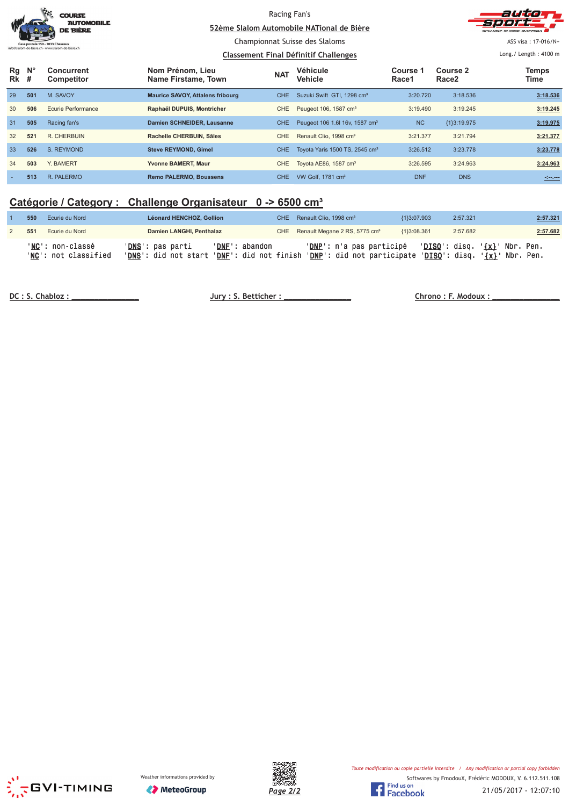|          |                  | <b>COURSE</b><br><b>AUTOMOBILE</b><br><b>DE BIÈRE</b> |                                              | Racing Fan's | 52ème Slalom Automobile NATional de Bière  |                                  |                               | autio<br>CHIMEIZ SUISSE SVIZZEDA |
|----------|------------------|-------------------------------------------------------|----------------------------------------------|--------------|--------------------------------------------|----------------------------------|-------------------------------|----------------------------------|
|          |                  |                                                       | Championnat Suisse des Slaloms               |              |                                            |                                  |                               | ASS visa: 17-016/N+              |
|          |                  |                                                       | <b>Classement Final Définitif Challenges</b> |              |                                            | Long. / Length: $4100 \text{ m}$ |                               |                                  |
| Rg<br>Rk | $N^{\circ}$<br># | <b>Concurrent</b><br><b>Competitor</b>                | Nom Prénom, Lieu<br>Name Firstame, Town      | <b>NAT</b>   | Véhicule<br><b>Vehicle</b>                 | Course 1<br>Race1                | Course 2<br>Race <sub>2</sub> | Temps<br>Time                    |
| 29       | 501              | M. SAVOY                                              | <b>Maurice SAVOY, Attalens fribourg</b>      | CHE.         | Suzuki Swift GTI, 1298 cm <sup>3</sup>     | 3:20.720                         | 3:18.536                      | 3:18.536                         |
| 30       | 506              | Ecurie Performance                                    | Raphaël DUPUIS, Montricher                   | <b>CHE</b>   | Peugeot 106, 1587 cm <sup>3</sup>          | 3:19.490                         | 3:19.245                      | 3:19.245                         |
| 31       | 505              | Racing fan's                                          | Damien SCHNEIDER, Lausanne                   | <b>CHE</b>   | Peugeot 106 1.6 16v, 1587 cm <sup>3</sup>  | <b>NC</b>                        | {1}3:19.975                   | 3:19.975                         |
| 32       | 521              | R. CHERBUIN                                           | Rachelle CHERBUIN, Sâles                     | CHE          | Renault Clio, 1998 cm <sup>3</sup>         | 3:21.377                         | 3:21.794                      | 3:21.377                         |
| 33       | 526              | S. REYMOND                                            | <b>Steve REYMOND, Gimel</b>                  | <b>CHE</b>   | Toyota Yaris 1500 TS, 2545 cm <sup>3</sup> | 3:26.512                         | 3:23.778                      | 3:23.778                         |
| 34       | 503              | Y. BAMERT                                             | Yvonne BAMERT, Maur                          | CHE          | Toyota AE86, 1587 cm <sup>3</sup>          | 3:26.595                         | 3:24.963                      | 3:24.963                         |
|          | 513              | R. PALERMO                                            | <b>Remo PALERMO, Boussens</b>                | CHE.         | VW Golf, 1781 cm <sup>3</sup>              | <b>DNF</b>                       | <b>DNS</b>                    | $20 - 20$                        |

# **Catégorie / Category : Challenge Organisateur 0 -> 6500 cm³**

| 550 | Ecurie du Nord                           | <b>Léonard HENCHOZ, Gollion</b>                            |                                                  | CHE Renault Clio, 1998 cm <sup>3</sup>                                       | {1}3:07.903 | 2:57.321                                                                    | 2:57.321 |
|-----|------------------------------------------|------------------------------------------------------------|--------------------------------------------------|------------------------------------------------------------------------------|-------------|-----------------------------------------------------------------------------|----------|
| 551 | Ecurie du Nord                           | Damien LANGHI, Penthalaz                                   |                                                  | CHE Renault Megane 2 RS, 5775 cm <sup>3</sup>                                | {1}3:08.361 | 2:57.682                                                                    | 2:57.682 |
|     | 'NC': non-classé<br>'NC': not classified | ' <b>DNS</b> ': pas parti<br>' <b>DNS</b> ': did not start | 'DNF': abandon<br>' <b>DNF</b> ': did not finish | ' <mark>DNP</mark> ': n'a pas participé<br><b>'DNP':</b> did not participate |             | 'DISQ': disq. ' <u>{x}</u> ' Nbr. Pen.<br>$'DISQ': disq. ' {x}'} Nbr. Pen.$ |          |

DC : S. Chabloz :

 $Jury: S. Betticher:$ 

 **% &!!!!!!!!!!!!!!!**





21/05/2017 - 12:07:10

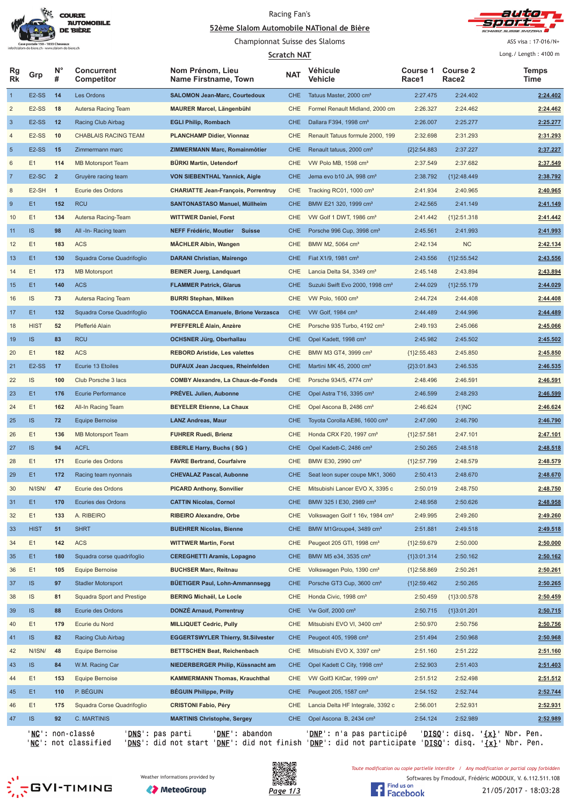

#### Racing Fan's <u>**S2ème Slalom Automobile NATional de Bière**</u>



Championnat Suisse des Slaloms

**Scratch NAT** 

ASS visa : 17-016/N+ Long./ Length: 4100 m

| Rg<br><b>Rk</b>  | Grp                | <b>N°</b><br># | <b>Concurrent</b><br>Competitor               | Nom Prénom, Lieu<br>Name Firstname, Town   | <b>NAT</b> | Véhicule<br>Vehicle                         | <b>Course 1</b><br>Race1 | <b>Course 2</b><br>Race <sub>2</sub>            | <b>Temps</b><br>Time |
|------------------|--------------------|----------------|-----------------------------------------------|--------------------------------------------|------------|---------------------------------------------|--------------------------|-------------------------------------------------|----------------------|
| $\mathbf{1}$     | E <sub>2</sub> -SS | 14             | Les Ordons                                    | <b>SALOMON Jean-Marc, Courtedoux</b>       | <b>CHE</b> | Tatuus Master, 2000 cm <sup>3</sup>         | 2:27.475                 | 2:24.402                                        | 2:24.402             |
| $\overline{c}$   | E <sub>2</sub> -SS | 18             | Autersa Racing Team                           | <b>MAURER Marcel, Längenbühl</b>           | <b>CHE</b> | Formel Renault Midland, 2000 cm             | 2:26.327                 | 2:24.462                                        | 2:24.462             |
| $\sqrt{3}$       | E <sub>2</sub> -SS | 12             | Racing Club Airbag                            | <b>EGLI Philip, Rombach</b>                | <b>CHE</b> | Dallara F394, 1998 cm <sup>3</sup>          | 2:26.007                 | 2:25.277                                        | 2:25.277             |
| 4                | E <sub>2</sub> -SS | 10             | <b>CHABLAIS RACING TEAM</b>                   | <b>PLANCHAMP Didier, Vionnaz</b>           | <b>CHE</b> | Renault Tatuus formule 2000, 199            | 2:32.698                 | 2:31.293                                        | 2:31.293             |
| $\sqrt{5}$       | E <sub>2</sub> -SS | 15             | Zimmermann marc                               | ZIMMERMANN Marc, Romainmôtier              | <b>CHE</b> | Renault tatuus, 2000 cm <sup>3</sup>        | ${2}2:54.883$            | 2:37.227                                        | 2:37.227             |
| 6                | E1                 | 114            | <b>MB Motorsport Team</b>                     | BÜRKI Martin, Uetendorf                    | <b>CHE</b> | VW Polo MB, 1598 cm <sup>3</sup>            | 2:37.549                 | 2:37.682                                        | 2:37.549             |
| $\overline{7}$   | E <sub>2</sub> -SC | $\overline{2}$ | Gruyère racing team                           | <b>VON SIEBENTHAL Yannick, Aigle</b>       | <b>CHE</b> | Jema evo b10 JA, 998 cm <sup>3</sup>        | 2:38.792                 | ${1}2:48.449$                                   | 2:38.792             |
| 8                | E2-SH              | $\overline{1}$ | Ecurie des Ordons                             | <b>CHARIATTE Jean-François, Porrentruy</b> | CHE        | Tracking RC01, 1000 cm <sup>3</sup>         | 2:41.934                 | 2:40.965                                        | 2:40.965             |
| $\boldsymbol{9}$ | E1                 | 152            | <b>RCU</b>                                    | <b>SANTONASTASO Manuel, Müllheim</b>       | <b>CHE</b> | BMW E21 320, 1999 cm <sup>3</sup>           | 2:42.565                 | 2:41.149                                        | 2:41.149             |
| 10               | E <sub>1</sub>     | 134            | Autersa Racing-Team                           | <b>WITTWER Daniel, Forst</b>               | <b>CHE</b> | VW Golf 1 DWT, 1986 cm <sup>3</sup>         | 2:41.442                 | ${1}2:51.318$                                   | 2:41.442             |
| 11               | IS                 | 98             | All -In- Racing team                          | NEFF Frédéric, Moutier<br><b>Suisse</b>    | <b>CHE</b> | Porsche 996 Cup, 3998 cm <sup>3</sup>       | 2:45.561                 | 2:41.993                                        | 2:41.993             |
| 12               | E1                 | 183            | <b>ACS</b>                                    | <b>MÄCHLER Albin, Wangen</b>               | <b>CHE</b> | BMW M2, 5064 cm <sup>3</sup>                | 2:42.134                 | <b>NC</b>                                       | 2:42.134             |
| 13               | E <sub>1</sub>     | 130            | Squadra Corse Quadrifoglio                    | <b>DARANI Christian, Mairengo</b>          | <b>CHE</b> | Fiat X1/9, 1981 cm <sup>3</sup>             | 2:43.556                 | ${1}2:55.542$                                   | 2:43.556             |
| 14               | E1                 | 173            | <b>MB Motorsport</b>                          | <b>BEINER Juerg, Landquart</b>             | <b>CHE</b> | Lancia Delta S4, 3349 cm <sup>3</sup>       | 2:45.148                 | 2:43.894                                        | 2:43.894             |
| 15               | E <sub>1</sub>     | 140            | <b>ACS</b>                                    | <b>FLAMMER Patrick, Glarus</b>             | <b>CHE</b> | Suzuki Swift Evo 2000, 1998 cm <sup>3</sup> | 2:44.029                 | ${1}2:55.179$                                   | 2:44.029             |
| 16               | IS                 | 73             | Autersa Racing Team                           | <b>BURRI Stephan, Milken</b>               | <b>CHE</b> | VW Polo, 1600 cm <sup>3</sup>               | 2:44.724                 | 2:44.408                                        | 2:44.408             |
| 17               | E <sub>1</sub>     | 132            | Squadra Corse Quadrifoglio                    | <b>TOGNACCA Emanuele, Brione Verzasca</b>  | <b>CHE</b> | VW Golf, 1984 cm <sup>3</sup>               | 2:44.489                 | 2:44.996                                        | 2:44.489             |
| 18               | <b>HIST</b>        | 52             | Pfefferlé Alain                               | PFEFFERLÉ Alain, Anzère                    | <b>CHE</b> | Porsche 935 Turbo, 4192 cm <sup>3</sup>     | 2:49.193                 | 2:45.066                                        | 2:45.066             |
| 19               | IS                 | 83             | <b>RCU</b>                                    | <b>OCHSNER Jürg, Oberhallau</b>            | <b>CHE</b> | Opel Kadett, 1998 cm <sup>3</sup>           | 2:45.982                 | 2:45.502                                        | 2:45.502             |
| 20               | E <sub>1</sub>     | 182            | <b>ACS</b>                                    | <b>REBORD Aristide, Les valettes</b>       | <b>CHE</b> | BMW M3 GT4, 3999 cm <sup>3</sup>            | ${1}2:55.483$            | 2:45.850                                        | 2:45.850             |
| 21               | E2-SS              | 17             | Ecurie 13 Etoiles                             | <b>DUFAUX Jean Jacques, Rheinfelden</b>    | <b>CHE</b> | Martini MK 45, 2000 cm <sup>3</sup>         | ${2}3:01.843$            | 2:46.535                                        | 2:46.535             |
| 22               | IS                 | 100            | Club Porsche 3 lacs                           | <b>COMBY Alexandre, La Chaux-de-Fonds</b>  | CHE        | Porsche 934/5, 4774 cm <sup>3</sup>         | 2:48.496                 | 2:46.591                                        | 2:46.591             |
| 23               | E <sub>1</sub>     | 176            | <b>Ecurie Performance</b>                     | <b>PRÉVEL Julien, Aubonne</b>              | <b>CHE</b> | Opel Astra T16, 3395 cm <sup>3</sup>        | 2:46.599                 | 2:48.293                                        | 2:46.599             |
| 24               | E <sub>1</sub>     | 162            | All-In Racing Team                            | <b>BEYELER Etienne, La Chaux</b>           | CHE        | Opel Ascona B, 2486 cm <sup>3</sup>         | 2:46.624                 | ${1}NC$                                         | 2:46.624             |
| 25               | IS.                | 72             | <b>Equipe Bernoise</b>                        | <b>LANZ Andreas, Maur</b>                  | <b>CHE</b> | Toyota Corolla AE86, 1600 cm <sup>3</sup>   | 2:47.090                 | 2:46.790                                        | 2:46.790             |
| 26               | E1                 | 136            | <b>MB Motorsport Team</b>                     | <b>FUHRER Ruedi, Brienz</b>                | <b>CHE</b> | Honda CRX F20, 1997 cm <sup>3</sup>         | ${1}2:57.581$            | 2:47.101                                        | 2:47.101             |
| 27               | IS                 | 94             | <b>ACFL</b>                                   | <b>EBERLE Harry, Buchs (SG)</b>            | <b>CHE</b> | Opel Kadett-C, 2486 cm <sup>3</sup>         | 2:50.265                 | 2:48.518                                        | 2:48.518             |
| 28               | E1                 | 171            | Ecurie des Ordons                             | <b>FAVRE Bertrand, Courfaivre</b>          | <b>CHE</b> | BMW E30, 2990 cm <sup>3</sup>               | ${1}2:57.799$            | 2:48.579                                        | 2:48.579             |
| 29               | E1                 | 172            | Racing team nyonnais                          | <b>CHEVALAZ Pascal, Aubonne</b>            | <b>CHE</b> | Seat leon super coupe MK1, 3060             | 2:50.413                 | 2:48.670                                        | 2:48.670             |
| 30               | N/ISN/             | 47             | Ecurie des Ordons                             | <b>PICARD Anthony, Sonvilier</b>           | CHE        | Mitsubishi Lancer EVO X, 3395 c             | 2:50.019                 | 2:48.750                                        | 2:48.750             |
| 31               | E1                 | 170            | Ecuries des Ordons                            | <b>CATTIN Nicolas, Cornol</b>              | <b>CHE</b> | BMW 325 I E30, 2989 cm <sup>3</sup>         | 2:48.958                 | 2:50.626                                        | 2:48.958             |
| 32               | E1                 | 133            | A. RIBEIRO                                    | <b>RIBEIRO Alexandre, Orbe</b>             | CHE        | Volkswagen Golf 1 16v, 1984 cm <sup>3</sup> | 2:49.995                 | 2:49.260                                        | 2:49.260             |
| 33               | <b>HIST</b>        | 51             | <b>SHRT</b>                                   | <b>BUEHRER Nicolas, Bienne</b>             | <b>CHE</b> | BMW M1Groupe4, 3489 cm <sup>3</sup>         | 2:51.881                 | 2:49.518                                        | 2:49.518             |
| 34               | E1                 | 142            | <b>ACS</b>                                    | <b>WITTWER Martin, Forst</b>               | CHE        | Peugeot 205 GTI, 1998 cm <sup>3</sup>       | ${1}2:59.679$            | 2:50.000                                        | 2:50.000             |
| 35               | E <sub>1</sub>     | 180            | Squadra corse quadrifoglio                    | <b>CEREGHETTI Aramis, Lopagno</b>          | <b>CHE</b> | BMW M5 e34, 3535 cm <sup>3</sup>            | ${1}3:01.314$            | 2:50.162                                        | 2:50.162             |
| 36               | E1                 | 105            | Equipe Bernoise                               | <b>BUCHSER Marc, Reitnau</b>               | CHE        | Volkswagen Polo, 1390 cm <sup>3</sup>       | ${1}2:58.869$            | 2:50.261                                        | 2:50.261             |
| 37               | IS                 | 97             | <b>Stadler Motorsport</b>                     | BÜETIGER Paul, Lohn-Ammannsegg             | <b>CHE</b> | Porsche GT3 Cup, 3600 cm <sup>3</sup>       | ${1}2:59.462$            | 2:50.265                                        | 2:50.265             |
| 38               | IS                 | 81             | Squadra Sport and Prestige                    | BERING Michaël, Le Locle                   | CHE        | Honda Civic, 1998 cm <sup>3</sup>           | 2:50.459                 | ${1}3:00.578$                                   | 2:50.459             |
| 39               | <b>IS</b>          | 88             | Ecurie des Ordons                             | DONZÉ Arnaud, Porrentruy                   | <b>CHE</b> | Vw Golf, 2000 cm <sup>3</sup>               | 2:50.715                 | ${1}3:01.201$                                   | 2:50.715             |
| 40               | E1                 | 179            | Ecurie du Nord                                | MILLIQUET Cedric, Pully                    | CHE        | Mitsubishi EVO VI, 3400 cm <sup>3</sup>     | 2:50.970                 | 2:50.756                                        | 2:50.756             |
| 41               | IS                 | 82             | Racing Club Airbag                            | <b>EGGERTSWYLER Thierry, St.Silvester</b>  | <b>CHE</b> | Peugeot 405, 1998 cm <sup>3</sup>           | 2:51.494                 | 2:50.968                                        | 2:50.968             |
| 42               | N/ISN/             | 48             | Equipe Bernoise                               | <b>BETTSCHEN Beat, Reichenbach</b>         | CHE        | Mitsubishi EVO X, 3397 cm <sup>3</sup>      | 2:51.160                 | 2:51.222                                        | 2:51.160             |
| 43               | <b>IS</b>          | 84             | W.M. Racing Car                               | NIEDERBERGER Philip, Küssnacht am          | CHE        | Opel Kadett C City, 1998 cm <sup>3</sup>    | 2:52.903                 | 2:51.403                                        | 2:51.403             |
| 44               | E1                 | 153            | Equipe Bernoise                               | <b>KAMMERMANN Thomas, Krauchthal</b>       | CHE        | VW Golf3 KitCar, 1999 cm <sup>3</sup>       | 2:51.512                 | 2:52.498                                        | 2:51.512             |
| 45               | E <sub>1</sub>     | 110            | P. BÉGUIN                                     | <b>BEGUIN Philippe, Prilly</b>             | <b>CHE</b> | Peugeot 205, 1587 cm <sup>3</sup>           | 2:54.152                 | 2:52.744                                        | 2:52.744             |
| 46               | E1                 | 175            | Squadra Corse Quadrifoglio                    | <b>CRISTONI Fabio, Péry</b>                | CHE        | Lancia Delta HF Integrale, 3392 c           | 2:56.001                 | 2:52.931                                        | 2:52.931             |
| 47               | IS                 | 92             | C. MARTINIS                                   | <b>MARTINIS Christophe, Sergey</b>         | <b>CHE</b> | Opel Ascona B, 2434 cm <sup>3</sup>         | 2:54.124                 | 2:52.989                                        | 2:52.989             |
|                  |                    |                |                                               |                                            |            |                                             |                          | ' <u>DISQ</u> ': disq. ' <u>{x}</u> ' Nbr. Pen. |                      |
|                  |                    |                | ' <u>NC</u> ': non-classé<br>'DNS': pas parti | 'DNE': abandon                             |            | ' <u>DNP</u> ': n'a pas participé           |                          |                                                 |                      |

'<u>NC</u>': not classified '<u>DNS</u>': did not start '<u>DNF</u>': did not finish '<u>DNP</u>': did not participate '<u>DISQ</u>': disq. '<u>{x}</u>' Nbr. Pen.







Toute modification ou copie partielle interdite / Any modification or partial copy forbidden

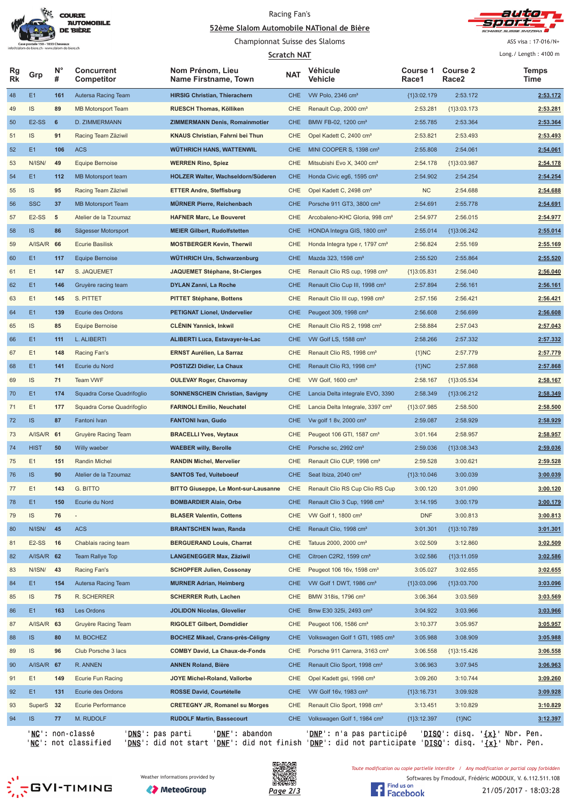

#### Racing Fan's <u>**S2ème Slalom Automobile NATional de Bière**</u>



Championnat Suisse des Slaloms

**1 1 1 1** 

ASS visa : 17-016/N+  $l$  ong  $l$  | ongth  $l$  4100 m

| Scratch NAT |                    |         |                                      |                                          |            | Long./ Length: 4100 m                        |                   |                                      |                                                 |
|-------------|--------------------|---------|--------------------------------------|------------------------------------------|------------|----------------------------------------------|-------------------|--------------------------------------|-------------------------------------------------|
| Rg<br>Rk    | Grp                | Ν°<br># | <b>Concurrent</b><br>Competitor      | Nom Prénom, Lieu<br>Name Firstname, Town | <b>NAT</b> | Véhicule<br>Vehicle                          | Course 1<br>Race1 | <b>Course 2</b><br>Race <sub>2</sub> | Temps<br>Time                                   |
| 48          | E1                 | 161     | Autersa Racing Team                  | <b>HIRSIG Christian, Thierachern</b>     | <b>CHE</b> | VW Polo, 2346 cm <sup>3</sup>                | ${1}3:02.179$     | 2:53.172                             | 2:53.172                                        |
| 49          | IS                 | 89      | <b>MB Motorsport Team</b>            | RUESCH Thomas, Kölliken                  | CHE        | Renault Cup, 2000 cm <sup>3</sup>            | 2:53.281          | ${1}3:03.173$                        | 2:53.281                                        |
| 50          | E2-SS              | 6       | D. ZIMMERMANN                        | <b>ZIMMERMANN Denis, Romainmotier</b>    | <b>CHE</b> | BMW FB-02, 1200 cm <sup>3</sup>              | 2:55.785          | 2:53.364                             | 2:53.364                                        |
| 51          | IS                 | 91      | Racing Team Zäziwil                  | KNAUS Christian, Fahrni bei Thun         | <b>CHE</b> | Opel Kadett C, 2400 cm <sup>3</sup>          | 2:53.821          | 2:53.493                             | 2:53.493                                        |
| 52          | E1                 | 106     | <b>ACS</b>                           | WÜTHRICH HANS, WATTENWIL                 | <b>CHE</b> | MINI COOPER S, 1398 cm <sup>3</sup>          | 2:55.808          | 2:54.061                             | 2:54.061                                        |
| 53          | N/ISN/             | 49      | <b>Equipe Bernoise</b>               | <b>WERREN Rino, Spiez</b>                | <b>CHE</b> | Mitsubishi Evo X, 3400 cm <sup>3</sup>       | 2:54.178          | {1}3:03.987                          | 2:54.178                                        |
| 54          | E1                 | 112     | MB Motorsport team                   | HOLZER Walter, Wachseldorn/Süderen       | <b>CHE</b> | Honda Civic eg6, 1595 cm <sup>3</sup>        | 2:54.902          | 2:54.254                             | 2:54.254                                        |
| 55          | <b>IS</b>          | 95      | Racing Team Zäziwil                  | <b>ETTER Andre, Steffisburg</b>          | <b>CHE</b> | Opel Kadett C, 2498 cm <sup>3</sup>          | <b>NC</b>         | 2:54.688                             | 2:54.688                                        |
| 56          | <b>SSC</b>         | 37      | <b>MB Motorsport Team</b>            | <b>MÜRNER Pierre, Reichenbach</b>        | <b>CHE</b> | Porsche 911 GT3, 3800 cm <sup>3</sup>        | 2:54.691          | 2:55.778                             | 2:54.691                                        |
| 57          | $E2-SS$            | 5       | Atelier de la Tzoumaz                | <b>HAFNER Marc, Le Bouveret</b>          | <b>CHE</b> | Arcobaleno-KHC Gloria, 998 cm <sup>3</sup>   | 2:54.977          | 2:56.015                             | 2:54.977                                        |
| 58          | <b>IS</b>          | 86      | Sägesser Motorsport                  | <b>MEIER Gilbert, Rudolfstetten</b>      | <b>CHE</b> | HONDA Integra GIS, 1800 cm <sup>3</sup>      | 2:55.014          | ${1}3:06.242$                        | 2:55.014                                        |
| 59          | A/ISA/R 66         |         | <b>Ecurie Basilisk</b>               | <b>MOSTBERGER Kevin, Therwil</b>         | CHE        | Honda Integra type r, 1797 cm <sup>3</sup>   | 2:56.824          | 2:55.169                             | 2:55.169                                        |
| 60          | E1                 | 117     | Equipe Bernoise                      | <b>WÜTHRICH Urs, Schwarzenburg</b>       | <b>CHE</b> | Mazda 323, 1598 cm <sup>3</sup>              | 2:55.520          | 2:55.864                             | 2:55.520                                        |
| 61          | E1                 | 147     | S. JAQUEMET                          | JAQUEMET Stéphane, St-Cierges            | <b>CHE</b> | Renault Clio RS cup, 1998 cm <sup>3</sup>    | ${1}3:05.831$     | 2:56.040                             | 2:56.040                                        |
| 62          | E1                 | 146     | Gruyère racing team                  | DYLAN Zanni, La Roche                    | <b>CHE</b> | Renault Clio Cup III, 1998 cm <sup>3</sup>   | 2:57.894          | 2:56.161                             | 2:56.161                                        |
| 63          | E1                 | 145     | S. PITTET                            | <b>PITTET Stéphane, Bottens</b>          | CHE        | Renault Clio III cup, 1998 cm <sup>3</sup>   | 2:57.156          | 2:56.421                             | 2:56.421                                        |
| 64          | E <sub>1</sub>     | 139     | Ecurie des Ordons                    | <b>PETIGNAT Lionel, Undervelier</b>      | <b>CHE</b> | Peugeot 309, 1998 cm <sup>3</sup>            | 2:56.608          | 2:56.699                             | 2:56.608                                        |
| 65          | IS                 | 85      | Equipe Bernoise                      | CLÉNIN Yannick, Inkwil                   | <b>CHE</b> | Renault Clio RS 2, 1998 cm <sup>3</sup>      | 2:58.884          | 2:57.043                             | 2:57.043                                        |
| 66          | E <sub>1</sub>     | 111     | L. ALIBERTI                          | ALIBERTI Luca, Estavayer-le-Lac          | <b>CHE</b> | VW Golf LS, 1588 cm <sup>3</sup>             | 2:58.266          | 2:57.332                             | 2:57.332                                        |
|             | E1                 | 148     | Racing Fan's                         | <b>ERNST Aurélien, La Sarraz</b>         | CHE        |                                              | ${1}NC$           | 2:57.779                             | 2:57.779                                        |
| 67          | E1                 | 141     | Ecurie du Nord                       |                                          | <b>CHE</b> | Renault Clio RS, 1998 cm <sup>3</sup>        |                   |                                      |                                                 |
| 68          |                    |         |                                      | POSTIZZI Didier, La Chaux                |            | Renault Clio R3, 1998 cm <sup>3</sup>        | ${1}NC$           | 2:57.868                             | 2:57.868                                        |
| 69          | IS                 | 71      | Team VWF                             | <b>OULEVAY Roger, Chavornay</b>          | <b>CHE</b> | VW Golf, 1600 cm <sup>3</sup>                | 2:58.167          | ${1}3:05.534$                        | 2:58.167                                        |
| 70          | E <sub>1</sub>     | 174     | Squadra Corse Quadrifoglio           | SONNENSCHEIN Christian, Savigny          | <b>CHE</b> | Lancia Delta integrale EVO, 3390             | 2:58.349          | ${1}3:06.212$                        | 2:58.349                                        |
| 71          | E1                 | 177     | Squadra Corse Quadrifoglio           | <b>FARINOLI Emilio, Neuchatel</b>        | <b>CHE</b> | Lancia Delta Integrale, 3397 cm <sup>3</sup> | ${1}3:07.985$     | 2:58.500                             | 2:58.500                                        |
| 72          | <b>IS</b>          | 87      | Fantoni Ivan                         | <b>FANTONI Ivan, Gudo</b>                | <b>CHE</b> | Vw golf 1 8v, 2000 cm <sup>3</sup>           | 2:59.087          | 2:58.929                             | 2:58.929                                        |
| 73          | A/ISA/R 61         |         | <b>Gruyère Racing Team</b>           | <b>BRACELLI Yves, Veytaux</b>            | CHE        | Peugeot 106 GTI, 1587 cm <sup>3</sup>        | 3:01.164          | 2:58.957                             | 2:58.957                                        |
| 74          | <b>HIST</b>        | 50      | Willy waeber                         | <b>WAEBER willy, Berolle</b>             | <b>CHE</b> | Porsche sc, 2992 cm <sup>3</sup>             | 2:59.036          | ${1}3:08.343$                        | 2:59.036                                        |
| 75          | E1                 | 151     | <b>Randin Michel</b>                 | <b>RANDIN Michel, Mervelier</b>          | CHE        | Renault Clio CUP, 1998 cm <sup>3</sup>       | 2:59.528          | 3:00.621                             | 2:59.528                                        |
| 76          | <b>IS</b>          | 90      | Atelier de la Tzoumaz                | <b>SANTOS Ted, Vuiteboeuf</b>            | <b>CHE</b> | Seat Ibiza, 2040 cm <sup>3</sup>             | ${1}3:10.046$     | 3:00.039                             | 3:00.039                                        |
| 77          | E1                 | 143     | G. BITTO                             | BITTO Giuseppe, Le Mont-sur-Lausanne     | CHE        | Renault Clio RS Cup Clio RS Cup              | 3:00.120          | 3:01.090                             | 3:00.120                                        |
| 78          | E1                 | 150     | Ecurie du Nord                       | <b>BOMBARDIER Alain, Orbe</b>            | <b>CHE</b> | Renault Clio 3 Cup, 1998 cm <sup>3</sup>     | 3:14.195          | 3:00.179                             | 3:00.179                                        |
| 79          | IS                 | 76      |                                      | <b>BLASER Valentin, Cottens</b>          | CHE        | VW Golf 1, 1800 cm <sup>3</sup>              | <b>DNF</b>        | 3:00.813                             | 3:00.813                                        |
| 80          | N/ISN/             | 45      | <b>ACS</b>                           | <b>BRANTSCHEN Iwan, Randa</b>            | <b>CHE</b> | Renault Clio, 1998 cm <sup>3</sup>           | 3:01.301          | ${1}3:10.789$                        | 3:01.301                                        |
| 81          | E <sub>2</sub> -SS | 16      | Chablais racing team                 | <b>BERGUERAND Louis, Charrat</b>         | CHE        | Tatuus 2000, 2000 cm <sup>3</sup>            | 3:02.509          | 3:12.860                             | 3:02.509                                        |
| 82          | A/ISA/R 62         |         | Team Rallye Top                      | LANGENEGGER Max, Zäziwil                 | <b>CHE</b> | Citroen C2R2, 1599 cm <sup>3</sup>           | 3:02.586          | ${1}3:11.059$                        | 3:02.586                                        |
| 83          | N/ISN/             | 43      | Racing Fan's                         | <b>SCHOPFER Julien, Cossonay</b>         | CHE        | Peugeot 106 16v, 1598 cm <sup>3</sup>        | 3:05.027          | 3:02.655                             | 3:02.655                                        |
| 84          | E <sub>1</sub>     | 154     | Autersa Racing Team                  | <b>MURNER Adrian, Heimberg</b>           | <b>CHE</b> | VW Golf 1 DWT, 1986 cm <sup>3</sup>          | {1}3:03.096       | ${1}3:03.700$                        | 3:03.096                                        |
| 85          | <b>IS</b>          | 75      | R. SCHERRER                          | SCHERRER Ruth, Lachen                    | CHE        | BMW 318is, 1796 cm <sup>3</sup>              | 3:06.364          | 3:03.569                             | 3:03.569                                        |
| 86          | E <sub>1</sub>     | 163     | Les Ordons                           | <b>JOLIDON Nicolas, Glovelier</b>        | <b>CHE</b> | Bmw E30 325i, 2493 cm <sup>3</sup>           | 3:04.922          | 3:03.966                             | 3:03.966                                        |
| 87          | A/ISA/R 63         |         | Gruyère Racing Team                  | RIGOLET Gilbert, Domdidier               | CHE        | Peugeot 106, 1586 cm <sup>3</sup>            | 3:10.377          | 3:05.957                             | 3:05.957                                        |
| 88          | IS                 | 80      | M. BOCHEZ                            | <b>BOCHEZ Mikael, Crans-près-Céligny</b> | <b>CHE</b> | Volkswagen Golf 1 GTI, 1985 cm <sup>3</sup>  | 3:05.988          | 3:08.909                             | 3:05.988                                        |
| 89          | IS                 | 96      | Club Porsche 3 lacs                  | <b>COMBY David, La Chaux-de-Fonds</b>    | CHE        | Porsche 911 Carrera, 3163 cm <sup>3</sup>    | 3:06.558          | ${1}3:15.426$                        | 3:06.558                                        |
| 90          | A/ISA/R 67         |         | R. ANNEN                             | ANNEN Roland, Bière                      | <b>CHE</b> | Renault Clio Sport, 1998 cm <sup>3</sup>     | 3:06.963          | 3:07.945                             | 3:06.963                                        |
| 91          | E1                 | 149     | Ecurie Fun Racing                    | JOYE Michel-Roland, Vallorbe             | CHE        | Opel Kadett gsi, 1998 cm <sup>3</sup>        | 3:09.260          | 3:10.744                             | 3:09.260                                        |
| 92          | E1                 | 131     | Ecurie des Ordons                    | <b>ROSSE David, Courtételle</b>          | <b>CHE</b> | VW Golf 16v, 1983 cm <sup>3</sup>            | ${1}3:16.731$     | 3:09.928                             | 3:09.928                                        |
| 93          | SuperS 32          |         | Ecurie Performance                   | <b>CRETEGNY JR, Romanel su Morges</b>    | <b>CHE</b> | Renault Clio Sport, 1998 cm <sup>3</sup>     | 3:13.451          | 3:10.829                             | 3:10.829                                        |
| 94          | IS                 | 77      | M. RUDOLF                            | <b>RUDOLF Martin, Bassecourt</b>         | <b>CHE</b> | Volkswagen Golf 1, 1984 cm <sup>3</sup>      | ${1}3:12.397$     | ${1}NC$                              | 3:12.397                                        |
|             |                    |         | 'NC': non-classé<br>'DNS': pas parti | 'DNE': abandon                           |            | ' <u>DNP</u> ': n'a pas participé            |                   |                                      | ' <u>DISQ</u> ': disq. ' <u>{x}</u> ' Nbr. Pen. |

'<u>NC</u>': not classified '<u>DNS</u>': did not start '<u>DNF</u>': did not finish '<u>DNP</u>': did not participate '<u>DISQ</u>': disq. '<u>{x}</u>' Nbr. Pen.









Toute modification ou copie partielle interdite / Any modification or partial copy forbidden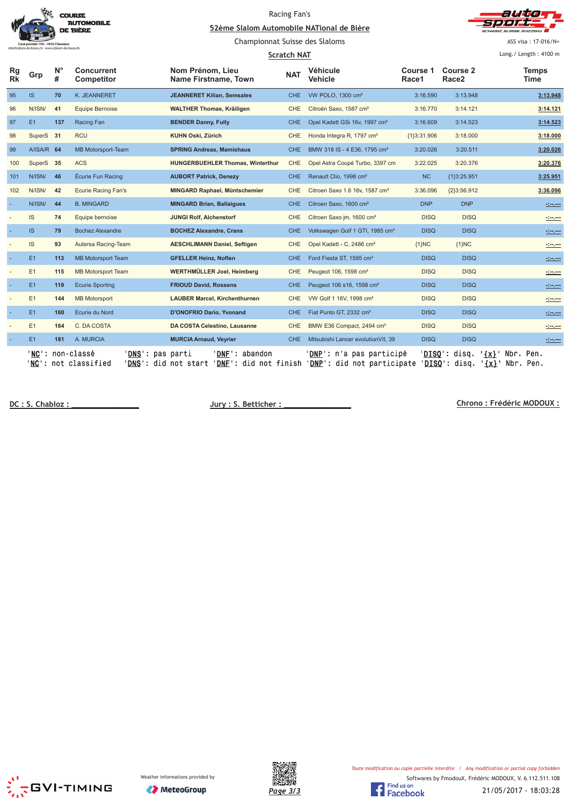|                 |                                                                               |         | <b>COURSE</b><br><b>AUTOMOBILE</b><br>DE BIÈRE | 52ème Slalom Automobile NATional de Bière | Racing Fan's       |                                             |                   |                               |                     |                                                                                                                                                                                                                                      |  |
|-----------------|-------------------------------------------------------------------------------|---------|------------------------------------------------|-------------------------------------------|--------------------|---------------------------------------------|-------------------|-------------------------------|---------------------|--------------------------------------------------------------------------------------------------------------------------------------------------------------------------------------------------------------------------------------|--|
|                 | oostale 150 - 1033 Cheseaux<br>do@slalom-de-biere.ch - www.slalom-de-biere.ch |         |                                                | Championnat Suisse des Slaloms            |                    |                                             |                   |                               | ASS visa: 17-016/N+ |                                                                                                                                                                                                                                      |  |
|                 |                                                                               |         |                                                |                                           | <b>Scratch NAT</b> |                                             |                   |                               |                     | Long./ Length: 4100 m                                                                                                                                                                                                                |  |
| Rg<br><b>Rk</b> | Grp                                                                           | N°<br># | <b>Concurrent</b><br>Competitor                | Nom Prénom, Lieu<br>Name Firstname, Town  | <b>NAT</b>         | Véhicule<br>Vehicle                         | Course 1<br>Race1 | Course 2<br>Race <sub>2</sub> |                     | <b>Temps</b><br>Time                                                                                                                                                                                                                 |  |
| 95              | IS.                                                                           | 70      | K. JEANNERET                                   | <b>JEANNERET Kilian, Semsales</b>         | <b>CHE</b>         | VW POLO, 1300 cm <sup>3</sup>               | 3:16.590          | 3:13.948                      |                     | 3:13.948                                                                                                                                                                                                                             |  |
| 96              | N/ISN/                                                                        | 41      | <b>Equipe Bernoise</b>                         | <b>WALTHER Thomas, Kräiligen</b>          | <b>CHE</b>         | Citroën Saxo, 1587 cm <sup>3</sup>          | 3:16.770          | 3:14.121                      |                     | 3:14.121                                                                                                                                                                                                                             |  |
| 97              | E1                                                                            | 137     | Racing Fan                                     | <b>BENDER Danny, Fully</b>                | <b>CHE</b>         | Opel Kadett GSi 16v, 1997 cm <sup>3</sup>   | 3:16.609          | 3:14.523                      |                     | 3:14.523                                                                                                                                                                                                                             |  |
| 98              | SuperS 31                                                                     |         | <b>RCU</b>                                     | <b>KUHN Oski, Zürich</b>                  | <b>CHE</b>         | Honda Integra R, 1797 cm <sup>3</sup>       | ${13:31.906}$     | 3:18,000                      |                     | 3:18.000                                                                                                                                                                                                                             |  |
| 99              | A/ISA/R 64                                                                    |         | MB Motorsport-Team                             | <b>SPRING Andreas, Mamishaus</b>          | CHE.               | BMW 318 IS - 4 E36, 1795 cm <sup>3</sup>    | 3:20.026          | 3:20.511                      |                     | 3:20.026                                                                                                                                                                                                                             |  |
| 100             | SuperS 35                                                                     |         | <b>ACS</b>                                     | <b>HUNGERBUEHLER Thomas, Winterthur</b>   | <b>CHE</b>         | Opel Astra Coupé Turbo, 3397 cm             | 3:22.025          | 3:20.376                      |                     | 3:20.376                                                                                                                                                                                                                             |  |
| 101             | N/ISN/                                                                        | 46      | Écurie Fun Racing                              | <b>AUBORT Patrick, Denezy</b>             | <b>CHE</b>         | Renault Clio, 1998 cm <sup>3</sup>          | <b>NC</b>         | ${1}3:25.951$                 |                     | 3:25.951                                                                                                                                                                                                                             |  |
| 102             | N/ISN/                                                                        | 42      | <b>Ecurie Racing Fan's</b>                     | MINGARD Raphael, Müntschemier             | <b>CHE</b>         | Citroen Saxo 1.6 16v, 1587 cm <sup>3</sup>  | 3:36.096          | ${2}3:56.912$                 |                     | 3:36.096                                                                                                                                                                                                                             |  |
|                 | N/ISN/                                                                        | 44      | <b>B. MINGARD</b>                              | <b>MINGARD Brian, Ballaigues</b>          | <b>CHE</b>         | Citroen Saxo, 1600 cm <sup>3</sup>          | <b>DNP</b>        | <b>DNP</b>                    |                     | <u>state</u>                                                                                                                                                                                                                         |  |
|                 | IS.                                                                           | 74      | Equipe bernoise                                | <b>JUNGI Rolf, Alchenstorf</b>            | <b>CHE</b>         | Citroen Saxo jm, 1600 cm <sup>3</sup>       | <b>DISQ</b>       | <b>DISQ</b>                   |                     |                                                                                                                                                                                                                                      |  |
|                 | <b>IS</b>                                                                     | 79      | <b>Bochez Alexandre</b>                        | <b>BOCHEZ Alexandre, Crans</b>            | <b>CHE</b>         | Volkswagen Golf 1 GTI, 1985 cm <sup>3</sup> | <b>DISQ</b>       | <b>DISQ</b>                   |                     |                                                                                                                                                                                                                                      |  |
|                 | IS                                                                            | 93      | Autersa Racing-Team                            | <b>AESCHLIMANN Daniel, Seftigen</b>       | <b>CHE</b>         | Opel Kadett - C, 2486 cm <sup>3</sup>       | ${1}NC$           | ${1}NC$                       |                     | <u>Seven</u>                                                                                                                                                                                                                         |  |
|                 | E1                                                                            | 113     | <b>MB Motorsport Team</b>                      | <b>GFELLER Heinz, Noflen</b>              | <b>CHE</b>         | Ford Fiesta ST, 1595 cm <sup>3</sup>        | <b>DISQ</b>       | <b>DISQ</b>                   |                     |                                                                                                                                                                                                                                      |  |
|                 | E1                                                                            | 115     | <b>MB Motorsport Team</b>                      | WERTHMÜLLER Joel, Heimberg                | CHE                | Peugeot 106, 1598 cm <sup>3</sup>           | <b>DISQ</b>       | <b>DISQ</b>                   |                     |                                                                                                                                                                                                                                      |  |
|                 | E1                                                                            | 119     | <b>Ecurie Sporting</b>                         | <b>FRIOUD David, Rossens</b>              | <b>CHE</b>         | Peugeot 106 s16, 1598 cm <sup>3</sup>       | <b>DISQ</b>       | <b>DISQ</b>                   |                     | <u> - 100 - 100 - 100 - 100 - 100 - 100 - 100 - 100 - 100 - 100 - 100 - 100 - 100 - 100 - 100 - 100 - 100 - 100 </u>                                                                                                                 |  |
|                 | E1                                                                            | 144     | <b>MB Motorsport</b>                           | <b>LAUBER Marcel, Kirchenthurnen</b>      | <b>CHE</b>         | VW Golf 1 16V, 1998 cm <sup>3</sup>         | <b>DISQ</b>       | <b>DISQ</b>                   |                     | <u>Seven</u>                                                                                                                                                                                                                         |  |
|                 | E1                                                                            | 160     | Ecurie du Nord                                 | D'ONOFRIO Dario, Yvonand                  | <b>CHE</b>         | Fiat Punto GT, 2332 cm <sup>3</sup>         | <b>DISQ</b>       | <b>DISQ</b>                   |                     |                                                                                                                                                                                                                                      |  |
|                 | E1                                                                            | 164     | C. DA COSTA                                    | DA COSTA Celestino, Lausanne              | <b>CHE</b>         | BMW E36 Compact, 2494 cm <sup>3</sup>       | <b>DISQ</b>       | <b>DISQ</b>                   |                     |                                                                                                                                                                                                                                      |  |
|                 | E1                                                                            | 181     | A. MURCIA                                      | <b>MURCIA Arnaud, Veyrier</b>             | <b>CHE</b>         | Mitsubishi Lancer evolution VII, 39         | <b>DISQ</b>       | <b>DISQ</b>                   |                     | <u> 1999 - 1999 - 1999 - 1999 - 1999 - 1999 - 1999 - 1999 - 1999 - 1999 - 1999 - 1999 - 1999 - 1999 - 1999 - 1999 - 1999 - 1999 - 1999 - 1999 - 1999 - 1999 - 1999 - 1999 - 1999 - 1999 - 1999 - 1999 - 1999 - 1999 - 1999 - 199</u> |  |
|                 |                                                                               |         | 'NC': non-classé<br>'DNS': pas parti           | ' <b>DNF</b> ': abandon                   |                    | ' <b>DNP':</b> n'a pas participé            | DISO':            | disq.                         | $\{x\}$ Nbr. Pen.   |                                                                                                                                                                                                                                      |  |

'<u>NC</u>': not classified '<u>DNS</u>': did not start '<u>DNF</u>': did not finish '<u>DNP</u>': did not participate '<u>DISQ</u>': disq. '<u>{x}</u>' Nbr. Pen.

DC: S. Chabloz:

**Jury: S. Betticher:** 

 **!!"##\$%**





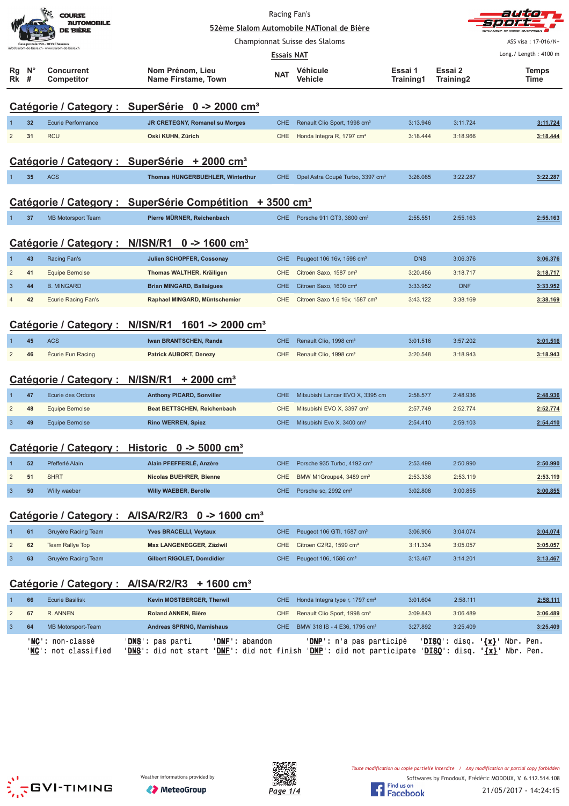|                |                  | <b>COURSE</b><br><b>AUTOMOBILE</b><br>DE BIÈRE | Racing Fan's<br>52ème Slalom Automobile NATional de Bière            |                   | auta<br><b>USSE SVIZZERA</b>                 |                      |                      |                                                 |
|----------------|------------------|------------------------------------------------|----------------------------------------------------------------------|-------------------|----------------------------------------------|----------------------|----------------------|-------------------------------------------------|
|                |                  | Case postale 150 - 1033 Cheseaux               |                                                                      |                   | Championnat Suisse des Slaloms               |                      |                      | ASS visa: 17-016/N+                             |
|                |                  | - www.slalom-de-biere.ch                       |                                                                      | <b>Essais NAT</b> |                                              |                      |                      | Long./ Length: 4100 m                           |
| Rg<br>Rk       | $N^{\circ}$<br># | <b>Concurrent</b><br>Competitor                | Nom Prénom, Lieu<br>Name Firstame, Town                              | <b>NAT</b>        | Véhicule<br>Vehicle                          | Essai 1<br>Training1 | Essai 2<br>Training2 | <b>Temps</b><br>Time                            |
|                |                  |                                                | Catégorie / Category : SuperSérie 0 -> 2000 cm <sup>3</sup>          |                   |                                              |                      |                      |                                                 |
|                | 32               | <b>Ecurie Performance</b>                      | JR CRETEGNY, Romanel su Morges                                       | <b>CHE</b>        | Renault Clio Sport, 1998 cm <sup>3</sup>     | 3:13.946             | 3:11.724             | 3:11.724                                        |
| $\overline{2}$ | 31               | <b>RCU</b>                                     | Oski KUHN, Zürich                                                    | <b>CHE</b>        | Honda Integra R, 1797 cm <sup>3</sup>        | 3:18.444             | 3:18.966             | 3:18.444                                        |
|                |                  |                                                | Catégorie / Category : SuperSérie + 2000 cm <sup>3</sup>             |                   |                                              |                      |                      |                                                 |
| 1              | 35               | <b>ACS</b>                                     | Thomas HUNGERBUEHLER, Winterthur                                     | CHE.              | Opel Astra Coupé Turbo, 3397 cm <sup>3</sup> | 3:26.085             | 3:22.287             | 3:22.287                                        |
|                |                  |                                                | Catégorie / Category : SuperSérie Compétition + 3500 cm <sup>3</sup> |                   |                                              |                      |                      |                                                 |
|                | 37               | <b>MB Motorsport Team</b>                      | Pierre MÜRNER, Reichenbach                                           |                   | CHE Porsche 911 GT3, 3800 cm <sup>3</sup>    | 2:55.551             | 2:55.163             | 2:55.163                                        |
|                |                  | Catégorie / Category :                         | $N/ISN/R1$ 0 -> 1600 cm <sup>3</sup>                                 |                   |                                              |                      |                      |                                                 |
|                | 43               | Racing Fan's                                   | Julien SCHOPFER, Cossonay                                            | <b>CHE</b>        | Peugeot 106 16v, 1598 cm <sup>3</sup>        | <b>DNS</b>           | 3:06.376             | 3:06.376                                        |
| $\overline{2}$ | 41               | <b>Equipe Bernoise</b>                         | Thomas WALTHER, Kräiligen                                            | CHE               | Citroën Saxo, 1587 cm <sup>3</sup>           | 3:20.456             | 3:18.717             | 3:18.717                                        |
| 3              | 44               | <b>B. MINGARD</b>                              | <b>Brian MINGARD, Ballaigues</b>                                     | <b>CHE</b>        | Citroen Saxo, 1600 cm <sup>3</sup>           | 3:33.952             | <b>DNF</b>           | 3:33.952                                        |
| $\overline{4}$ | 42               | <b>Ecurie Racing Fan's</b>                     | Raphael MINGARD, Müntschemier                                        | CHE               | Citroen Saxo 1.6 16v, 1587 cm <sup>3</sup>   | 3:43.122             | 3:38.169             | 3:38.169                                        |
|                |                  | Catégorie / Category :                         | N/ISN/R1<br>1601 -> 2000 cm <sup>3</sup>                             |                   |                                              |                      |                      |                                                 |
|                | 45               | <b>ACS</b>                                     | Iwan BRANTSCHEN, Randa                                               | <b>CHE</b>        | Renault Clio, 1998 cm <sup>3</sup>           | 3:01.516             | 3:57.202             | 3:01.516                                        |
| $\overline{2}$ | 46               | Écurie Fun Racing                              | <b>Patrick AUBORT, Denezy</b>                                        | <b>CHE</b>        | Renault Clio, 1998 cm <sup>3</sup>           | 3:20.548             | 3:18.943             | 3:18.943                                        |
|                |                  | Catégorie / Category : N/ISN/R1                | $+2000$ cm <sup>3</sup>                                              |                   |                                              |                      |                      |                                                 |
| $\mathbf{1}$   | 47               | Ecurie des Ordons                              | <b>Anthony PICARD, Sonvilier</b>                                     | <b>CHE</b>        | Mitsubishi Lancer EVO X, 3395 cm             | 2:58.577             | 2:48.936             | 2:48.936                                        |
| $\overline{2}$ | 48               | <b>Equipe Bernoise</b>                         | Beat BETTSCHEN, Reichenbach                                          | <b>CHE</b>        | Mitsubishi EVO X, 3397 cm <sup>3</sup>       | 2:57.749             | 2:52.774             | 2:52.774                                        |
| $\overline{3}$ | 49               | <b>Equipe Bernoise</b>                         | <b>Rino WERREN, Spiez</b>                                            | CHE.              | Mitsubishi Evo X, 3400 cm <sup>3</sup>       | 2:54.410             | 2:59.103             | 2:54.410                                        |
|                |                  |                                                | Catégorie / Category : Historic 0 -> 5000 cm <sup>3</sup>            |                   |                                              |                      |                      |                                                 |
| $\mathbf 1$    | 52               | Pfefferlé Alain                                | Alain PFEFFERLÉ, Anzère                                              | <b>CHE</b>        | Porsche 935 Turbo, 4192 cm <sup>3</sup>      | 2:53.499             | 2:50.990             | 2:50.990                                        |
| $\overline{c}$ | 51               | <b>SHRT</b>                                    | Nicolas BUEHRER, Bienne                                              | <b>CHE</b>        | BMW M1Groupe4, 3489 cm <sup>3</sup>          | 2:53.336             | 2:53.119             | 2:53.119                                        |
| $\mathbf{3}$   | 50               | Willy waeber                                   | Willy WAEBER, Berolle                                                | CHE.              | Porsche sc, 2992 cm <sup>3</sup>             | 3:02.808             | 3:00.855             | 3:00.855                                        |
|                |                  |                                                | Catégorie / Category : A/ISA/R2/R3 0 -> 1600 cm <sup>3</sup>         |                   |                                              |                      |                      |                                                 |
| 1              | 61               | Gruyère Racing Team                            | Yves BRACELLI, Veytaux                                               | <b>CHE</b>        | Peugeot 106 GTI, 1587 cm <sup>3</sup>        | 3:06.906             | 3:04.074             | 3:04.074                                        |
| $\overline{2}$ | 62               | Team Rallye Top                                | Max LANGENEGGER, Zäziwil                                             | <b>CHE</b>        | Citroen C2R2, 1599 cm <sup>3</sup>           | 3:11.334             | 3:05.057             | 3:05.057                                        |
| $\sqrt{3}$     | 63               | Gruyère Racing Team                            | Gilbert RIGOLET, Domdidier                                           | CHE               | Peugeot 106, 1586 cm <sup>3</sup>            | 3:13.467             | 3:14.201             | 3:13.467                                        |
|                |                  |                                                | Catégorie / Category : A/ISA/R2/R3 + 1600 cm <sup>3</sup>            |                   |                                              |                      |                      |                                                 |
| $\mathbf 1$    | 66               | <b>Ecurie Basilisk</b>                         | Kevin MOSTBERGER, Therwil                                            | <b>CHE</b>        | Honda Integra type r, 1797 cm <sup>3</sup>   | 3:01.604             | 2:58.111             | 2:58.111                                        |
| $\overline{c}$ | 67               | R. ANNEN                                       | <b>Roland ANNEN, Bière</b>                                           | CHE               | Renault Clio Sport, 1998 cm <sup>3</sup>     | 3:09.843             | 3:06.489             | 3:06.489                                        |
| $\mathbf{3}$   | 64               | MB Motorsport-Team                             | Andreas SPRING, Mamishaus                                            | CHE               | BMW 318 IS - 4 E36, 1795 cm <sup>3</sup>     | 3:27.892             | 3:25.409             | 3:25.409                                        |
|                |                  | ' <u>NC</u> ': non-classé                      | ' <u>DNS</u> ': pas parti<br>' <b>DNF</b> ': abandon                 |                   | ' <u>DNP</u> ': n'a pas participé            |                      |                      | ' <u>DISQ</u> ': disq. ' <u>{x}</u> ' Nbr. Pen. |





'<u>NC</u>': not classified '<u>DNS</u>': did not start '<u>DNF</u>': did not finish '<u>DNP</u>': did not participate '<u>DISQ</u>': disq. '<u>{x}</u>' Nbr. Pen.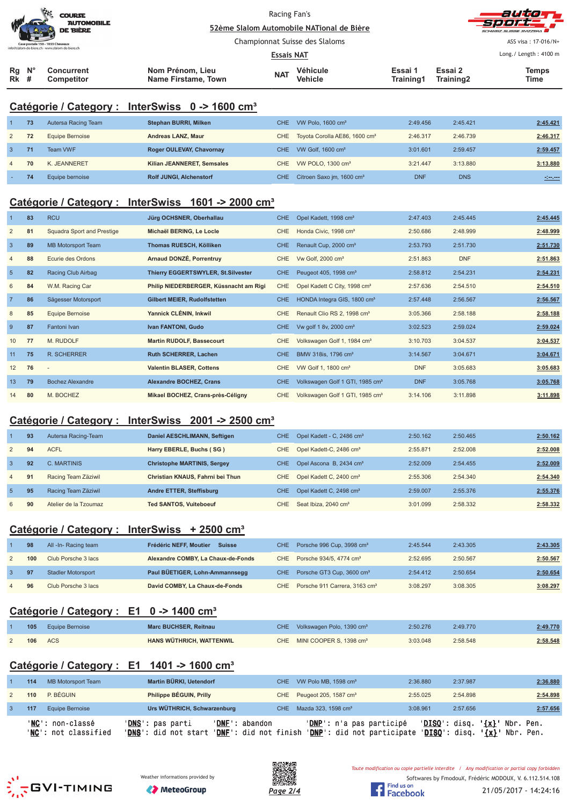|                   |                                                  | <b>COURSE</b><br><b>AUTOMOBILE</b><br><b>DE BIÈRE</b> |                                         | Racing Fan's<br>52ème Slalom Automobile NATional de Bière |                                |                      | auto T<br><b>Sport_</b><br>SCHWEIZ SUISSE SVIZZEDA |                       |  |
|-------------------|--------------------------------------------------|-------------------------------------------------------|-----------------------------------------|-----------------------------------------------------------|--------------------------------|----------------------|----------------------------------------------------|-----------------------|--|
|                   |                                                  | Case postale 150 - 1033 Cheseaux                      |                                         |                                                           | Championnat Suisse des Slaloms | ASS visa: 17-016/N+  |                                                    |                       |  |
|                   | info@slalom-de-biere.ch - www.slalom-de-biere.ch |                                                       |                                         | <b>Essais NAT</b>                                         |                                |                      |                                                    | Long./ Length: 4100 m |  |
| Rg<br><b>Rk</b> # | $N^{\circ}$                                      | Concurrent<br>Competitor                              | Nom Prénom, Lieu<br>Name Firstame, Town | <b>NAT</b>                                                | Véhicule<br><b>Vehicle</b>     | Essai 1<br>Training1 | Essai 2<br>Training2                               | <b>Temps</b><br>Time  |  |

## **Catégorie / Category : InterSwiss 0 -> 1600 cm³**

|              | 73 | Autersa Racing Team | <b>Stephan BURRI, Milken</b>   | CHE | VW Polo, 1600 cm <sup>3</sup>             | 2:49.456   | 2:45.421   | 2:45.421 |
|--------------|----|---------------------|--------------------------------|-----|-------------------------------------------|------------|------------|----------|
| 2            | 72 | Equipe Bernoise     | Andreas LANZ. Maur             | CHE | Toyota Corolla AE86, 1600 cm <sup>3</sup> | 2:46.317   | 2:46.739   | 2:46.317 |
| $\mathbf{3}$ | 71 | Team VWF            | Roger OULEVAY, Chavornay       | CHE | VW Golf, $1600 \text{ cm}^3$              | 3:01.601   | 2:59.457   | 2:59.457 |
| 4            | 70 | K. JEANNERET        | Kilian JEANNERET, Semsales     | CHE | VW POLO, $1300 \text{ cm}^3$              | 3:21.447   | 3:13.880   | 3:13.880 |
|              | 74 | Equipe bernoise     | <b>Rolf JUNGI, Alchenstorf</b> | CHE | Citroen Saxo jm, 1600 cm <sup>3</sup>     | <b>DNF</b> | <b>DNS</b> |          |

# **Catégorie / Category : InterSwiss 1601 -> 2000 cm³**

|                | 83 | <b>RCU</b>                 | Jürg OCHSNER, Oberhallau                  | CHE        | Opel Kadett, 1998 cm <sup>3</sup>           | 2:47.403   | 2:45.445   | 2:45.445 |
|----------------|----|----------------------------|-------------------------------------------|------------|---------------------------------------------|------------|------------|----------|
| $\overline{2}$ | 81 | Squadra Sport and Prestige | Michaël BERING, Le Locle                  | <b>CHE</b> | Honda Civic, 1998 cm <sup>3</sup>           | 2:50.686   | 2:48.999   | 2:48.999 |
| $\mathbf{3}$   | 89 | <b>MB Motorsport Team</b>  | Thomas RUESCH, Kölliken                   | <b>CHE</b> | Renault Cup, 2000 cm <sup>3</sup>           | 2:53.793   | 2:51.730   | 2:51.730 |
| $\overline{4}$ | 88 | Ecurie des Ordons          | Arnaud DONZÉ, Porrentruy                  | <b>CHE</b> | Vw Golf, 2000 cm <sup>3</sup>               | 2:51.863   | <b>DNF</b> | 2:51.863 |
| 5              | 82 | Racing Club Airbag         | <b>Thierry EGGERTSWYLER, St.Silvester</b> | CHE        | Peugeot 405, 1998 cm <sup>3</sup>           | 2:58.812   | 2:54.231   | 2:54.231 |
| 6              | 84 | W.M. Racing Car            | Philip NIEDERBERGER, Küssnacht am Rigi    | <b>CHE</b> | Opel Kadett C City, 1998 cm <sup>3</sup>    | 2:57.636   | 2:54.510   | 2:54.510 |
| $\overline{7}$ | 86 | Sägesser Motorsport        | Gilbert MEIER, Rudolfstetten              | CHE.       | HONDA Integra GIS, 1800 cm <sup>3</sup>     | 2:57.448   | 2:56.567   | 2:56.567 |
| 8              | 85 | Equipe Bernoise            | Yannick CLÉNIN, Inkwil                    | <b>CHE</b> | Renault Clio RS 2, 1998 cm <sup>3</sup>     | 3:05.366   | 2:58.188   | 2:58.188 |
| 9              | 87 | Fantoni Ivan               | Ivan FANTONI, Gudo                        | CHE        | Vw golf 1 8v, 2000 cm <sup>3</sup>          | 3:02.523   | 2:59.024   | 2:59.024 |
| 10             | 77 | M. RUDOLF                  | <b>Martin RUDOLF, Bassecourt</b>          | <b>CHE</b> | Volkswagen Golf 1, 1984 cm <sup>3</sup>     | 3:10.703   | 3:04.537   | 3:04.537 |
| 11             | 75 | <b>R. SCHERRER</b>         | <b>Ruth SCHERRER, Lachen</b>              | CHE.       | BMW 318is, 1796 cm <sup>3</sup>             | 3:14.567   | 3:04.671   | 3:04.671 |
| 12             | 76 | $\overline{a}$             | <b>Valentin BLASER, Cottens</b>           | CHE        | VW Golf 1, 1800 cm <sup>3</sup>             | <b>DNF</b> | 3:05.683   | 3:05.683 |
| 13             | 79 | <b>Bochez Alexandre</b>    | <b>Alexandre BOCHEZ, Crans</b>            | CHE.       | Volkswagen Golf 1 GTI, 1985 cm <sup>3</sup> | <b>DNF</b> | 3:05.768   | 3:05.768 |
| 14             | 80 | M. BOCHEZ                  | Mikael BOCHEZ, Crans-près-Céligny         | <b>CHE</b> | Volkswagen Golf 1 GTI, 1985 cm <sup>3</sup> | 3:14.106   | 3:11.898   | 3:11.898 |

#### **Catégorie / Category : InterSwiss 2001 -> 2500 cm³**

|                | 93 | Autersa Racing-Team   | Daniel AESCHLIMANN, Seftigen       | CHE  | Opel Kadett - C, 2486 cm <sup>3</sup> | 2:50.162 | 2:50.465 | 2:50.162 |
|----------------|----|-----------------------|------------------------------------|------|---------------------------------------|----------|----------|----------|
| 2              | 94 | <b>ACFL</b>           | Harry EBERLE, Buchs (SG)           | CHE  | Opel Kadett-C, 2486 cm <sup>3</sup>   | 2:55.871 | 2:52.008 | 2:52.008 |
| 3              | 92 | C. MARTINIS           | <b>Christophe MARTINIS, Sergey</b> | CHE. | Opel Ascona B, 2434 cm <sup>3</sup>   | 2:52.009 | 2:54.455 | 2:52.009 |
| $\overline{4}$ | 91 | Racing Team Zäziwil   | Christian KNAUS, Fahrni bei Thun   | CHE  | Opel Kadett C, 2400 cm <sup>3</sup>   | 2:55.306 | 2:54.340 | 2:54.340 |
| $\sqrt{5}$     | 95 | Racing Team Zäziwil   | Andre ETTER, Steffisburg           | CHE. | Opel Kadett C, 2498 cm <sup>3</sup>   | 2:59.007 | 2:55.376 | 2:55.376 |
| 6              | 90 | Atelier de la Tzoumaz | <b>Ted SANTOS, Vuiteboeuf</b>      | CHE. | Seat Ibiza, 2040 cm <sup>3</sup>      | 3:01.099 | 2:58.332 | 2:58.332 |

#### **Catégorie / Category : InterSwiss + 2500 cm³**

| 98  | All -In- Racing team      | Frédéric NEFF. Moutier<br><b>Suisse</b> | CHE Porsche 996 Cup, 3998 cm <sup>3</sup>     | 2:45.544 | 2:43.305 | 2:43.305 |
|-----|---------------------------|-----------------------------------------|-----------------------------------------------|----------|----------|----------|
| 100 | Club Porsche 3 lacs       | Alexandre COMBY, La Chaux-de-Fonds      | CHE Porsche 934/5, 4774 cm <sup>3</sup>       | 2:52.695 | 2:50.567 | 2:50.567 |
|     | <b>Stadler Motorsport</b> | Paul BÜETIGER, Lohn-Ammannsegg          | CHE Porsche GT3 Cup, 3600 cm <sup>3</sup>     | 2:54.412 | 2:50.654 | 2:50.654 |
| 96  | Club Porsche 3 lacs       | David COMBY, La Chaux-de-Fonds          | CHE Porsche 911 Carrera, 3163 cm <sup>3</sup> | 3:08.297 | 3:08.305 | 3:08.297 |

# **Catégorie / Category : E1 0 -> 1400 cm³**

|  | 105 Equipe Bernoise | <b>Marc BUCHSER, Reitnau</b> | CHE Volkswagen Polo, 1390 cm <sup>3</sup> | 2:50.276 | 2:49.770 | 2:49.770 |
|--|---------------------|------------------------------|-------------------------------------------|----------|----------|----------|
|  | <b>106</b> ACS      | HANS WÜTHRICH, WATTENWIL     | CHE MINI COOPER S. 1398 cm <sup>3</sup>   | 3:03.048 | 2:58.548 | 2:58.548 |

# **Catégorie / Category : E1 1401 -> 1600 cm³**

| 114 | MB Motorsport Team                                       | Martin BÜRKI, Uetendorf                                                                            |                | CHE VW Polo MB, 1598 cm <sup>3</sup>  |                          | 2:36.880 | 2:37.987                |                                   | 2:36.880    |
|-----|----------------------------------------------------------|----------------------------------------------------------------------------------------------------|----------------|---------------------------------------|--------------------------|----------|-------------------------|-----------------------------------|-------------|
| 110 | P. BÉGUIN                                                | Philippe BÉGUIN, Prilly                                                                            |                | CHE Peugeot 205, 1587 cm <sup>3</sup> |                          | 2:55.025 | 2:54.898                |                                   | 2:54.898    |
| 117 | Equipe Bernoise                                          | Urs WÜTHRICH, Schwarzenburg                                                                        |                | CHE Mazda 323, 1598 cm <sup>3</sup>   |                          | 3:08.961 | 2:57.656                |                                   | 2:57.656    |
|     | ' <b>NC':</b> non-classé<br>' <b>NC':</b> not classified | ' <b>DNS</b> ': pas parti<br>'DNS': did not start 'DNF': did not finish 'DNP': did not participate | 'DNF': abandon |                                       | 'DNP': n'a pas participé |          | $'DISO': disq. '{}x}.'$ | $'DISO': disq. ' {x}': Nbr. Pen.$ | ' Nbr. Pen. |





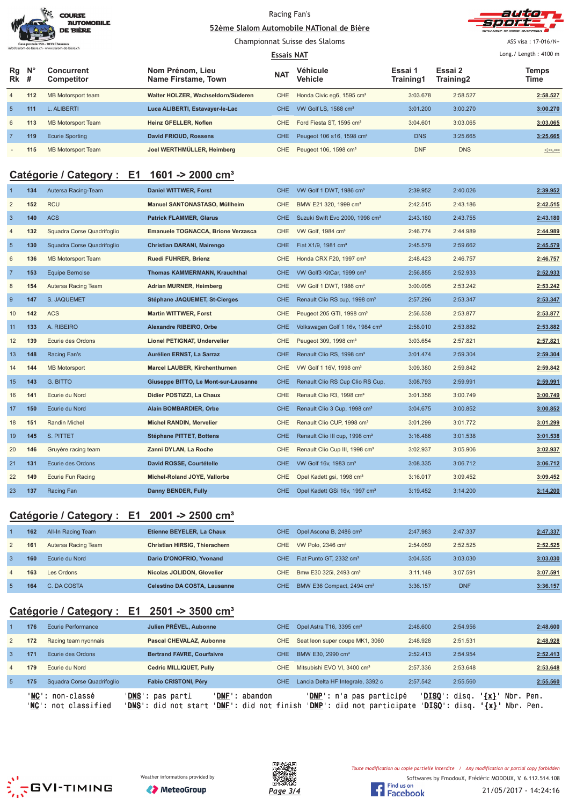|                                                  | <b>COURSE</b><br><b>AUTOMOBILE</b><br><b>DE BIÈRE</b> |
|--------------------------------------------------|-------------------------------------------------------|
| Case postale 150 - 1033 Cheseaux                 |                                                       |
| info@slalom-de-biere.ch - www.slalom-de-biere.ch |                                                       |

#### Racing Fan's 52ème Slalom Automobile NATional de Bière



Championnat Suisse des Slaloms

ASS visa : 17-016/N+

| <b>Essais NAT</b> |                         |                                 |                                         |            |                                       |                      |                      | Long./ Length: 4100 m |
|-------------------|-------------------------|---------------------------------|-----------------------------------------|------------|---------------------------------------|----------------------|----------------------|-----------------------|
| Rg<br><b>Rk</b>   | $\mathsf{N}^\circ$<br># | <b>Concurrent</b><br>Competitor | Nom Prénom, Lieu<br>Name Firstame, Town | <b>NAT</b> | Véhicule<br>Vehicle                   | Essai 1<br>Training1 | Essai 2<br>Training2 | Temps<br>Time         |
| $\overline{4}$    | 112                     | MB Motorsport team              | Walter HOLZER, Wachseldorn/Süderen      | CHE.       | Honda Civic eg6, 1595 cm <sup>3</sup> | 3:03.678             | 2:58.527             | 2:58.527              |
| $\sqrt{5}$        | 111                     | <b>L. ALIBERTI</b>              | Luca ALIBERTI, Estavayer-le-Lac         | CHE.       | VW Golf LS, 1588 cm <sup>3</sup>      | 3:01.200             | 3:00.270             | 3:00.270              |
| 6                 | 113                     | <b>MB Motorsport Team</b>       | Heinz GFELLER, Noflen                   | CHE.       | Ford Fiesta ST, 1595 cm <sup>3</sup>  | 3:04.601             | 3:03.065             | 3:03.065              |
|                   | 119                     | Ecurie Sporting                 | David FRIOUD, Rossens                   | CHE.       | Peugeot 106 s16, 1598 cm <sup>3</sup> | <b>DNS</b>           | 3:25.665             | 3:25.665              |
|                   | 115                     | <b>MB Motorsport Team</b>       | Joel WERTHMÜLLER, Heimberg              | CHE.       | Peugeot 106, 1598 cm <sup>3</sup>     | <b>DNF</b>           | <b>DNS</b>           | مسترسين               |

## **Catégorie / Category : E1 1601 -> 2000 cm³**

|                | 134 | Autersa Racing-Team        | <b>Daniel WITTWER, Forst</b>         | <b>CHE</b> | VW Golf 1 DWT, 1986 cm <sup>3</sup>         | 2:39.952 | 2:40.026 | 2:39.952 |
|----------------|-----|----------------------------|--------------------------------------|------------|---------------------------------------------|----------|----------|----------|
| $\overline{2}$ | 152 | <b>RCU</b>                 | Manuel SANTONASTASO, Müllheim        | CHE        | BMW E21 320, 1999 cm <sup>3</sup>           | 2:42.515 | 2:43.186 | 2:42.515 |
| $\overline{3}$ | 140 | <b>ACS</b>                 | <b>Patrick FLAMMER, Glarus</b>       | <b>CHE</b> | Suzuki Swift Evo 2000, 1998 cm <sup>3</sup> | 2:43.180 | 2:43.755 | 2:43.180 |
| $\overline{4}$ | 132 | Squadra Corse Quadrifoglio | Emanuele TOGNACCA, Brione Verzasca   | CHE.       | VW Golf, 1984 cm <sup>3</sup>               | 2:46.774 | 2:44.989 | 2:44.989 |
| $5\phantom{1}$ | 130 | Squadra Corse Quadrifoglio | Christian DARANI, Mairengo           | <b>CHE</b> | Fiat X1/9, 1981 cm <sup>3</sup>             | 2:45.579 | 2:59.662 | 2:45.579 |
| 6              | 136 | <b>MB Motorsport Team</b>  | Ruedi FUHRER, Brienz                 | CHE        | Honda CRX F20, 1997 cm <sup>3</sup>         | 2:48.423 | 2:46.757 | 2:46.757 |
| $\overline{7}$ | 153 | <b>Equipe Bernoise</b>     | <b>Thomas KAMMERMANN, Krauchthal</b> | CHE.       | VW Golf3 KitCar, 1999 cm <sup>3</sup>       | 2:56.855 | 2:52.933 | 2:52.933 |
| 8              | 154 | Autersa Racing Team        | Adrian MURNER, Heimberg              | <b>CHE</b> | VW Golf 1 DWT, 1986 cm <sup>3</sup>         | 3:00.095 | 2:53.242 | 2:53.242 |
| 9              | 147 | S. JAQUEMET                | Stéphane JAQUEMET, St-Cierges        | CHE.       | Renault Clio RS cup, 1998 cm <sup>3</sup>   | 2:57.296 | 2:53.347 | 2:53.347 |
| 10             | 142 | <b>ACS</b>                 | <b>Martin WITTWER, Forst</b>         | <b>CHE</b> | Peugeot 205 GTI, 1998 cm <sup>3</sup>       | 2:56.538 | 2:53.877 | 2:53.877 |
| 11             | 133 | A. RIBEIRO                 | Alexandre RIBEIRO, Orbe              | <b>CHE</b> | Volkswagen Golf 1 16v, 1984 cm <sup>3</sup> | 2:58.010 | 2:53.882 | 2:53.882 |
| 12             | 139 | Ecurie des Ordons          | Lionel PETIGNAT, Undervelier         | CHE        | Peugeot 309, 1998 cm <sup>3</sup>           | 3:03.654 | 2:57.821 | 2:57.821 |
| 13             | 148 | <b>Racing Fan's</b>        | Aurélien ERNST, La Sarraz            | <b>CHE</b> | Renault Clio RS, 1998 cm <sup>3</sup>       | 3:01.474 | 2:59.304 | 2:59.304 |
| 14             | 144 | <b>MB Motorsport</b>       | Marcel LAUBER, Kirchenthurnen        | <b>CHE</b> | VW Golf 1 16V, 1998 cm <sup>3</sup>         | 3:09.380 | 2:59.842 | 2:59.842 |
| 15             | 143 | <b>G. BITTO</b>            | Giuseppe BITTO, Le Mont-sur-Lausanne | <b>CHE</b> | Renault Clio RS Cup Clio RS Cup,            | 3:08.793 | 2:59.991 | 2:59.991 |
| 16             | 141 | Ecurie du Nord             | Didier POSTIZZI, La Chaux            | CHE.       | Renault Clio R3, 1998 cm <sup>3</sup>       | 3:01.356 | 3:00.749 | 3:00.749 |
| 17             | 150 | Ecurie du Nord             | Alain BOMBARDIER, Orbe               | CHE.       | Renault Clio 3 Cup, 1998 cm <sup>3</sup>    | 3:04.675 | 3:00.852 | 3:00.852 |
| 18             | 151 | Randin Michel              | Michel RANDIN, Mervelier             | <b>CHE</b> | Renault Clio CUP, 1998 cm <sup>3</sup>      | 3:01.299 | 3:01.772 | 3:01.299 |
| 19             | 145 | S. PITTET                  | <b>Stéphane PITTET, Bottens</b>      | CHE.       | Renault Clio III cup, 1998 cm <sup>3</sup>  | 3:16.486 | 3:01.538 | 3:01.538 |
| 20             | 146 | Gruyère racing team        | Zanni DYLAN, La Roche                | <b>CHE</b> | Renault Clio Cup III, 1998 cm <sup>3</sup>  | 3:02.937 | 3:05.906 | 3:02.937 |
| 21             | 131 | Ecurie des Ordons          | David ROSSE, Courtételle             | CHE.       | VW Golf 16v, 1983 cm <sup>3</sup>           | 3:08.335 | 3:06.712 | 3:06.712 |
| 22             | 149 | Ecurie Fun Racing          | Michel-Roland JOYE, Vallorbe         | CHE        | Opel Kadett gsi, 1998 cm <sup>3</sup>       | 3:16.017 | 3:09.452 | 3:09.452 |
| 23             | 137 | Racing Fan                 | Danny BENDER, Fully                  | <b>CHE</b> | Opel Kadett GSi 16v, 1997 cm <sup>3</sup>   | 3:19.452 | 3:14.200 | 3:14.200 |

#### **Catégorie / Category : E1 2001 -> 2500 cm³**

|                | 162 | All-In Racing Team  | Etienne BEYELER, La Chaux            | CHE  | Opel Ascona B, 2486 cm <sup>3</sup>   | 2:47.983 | 2:47.337   | 2:47.337 |
|----------------|-----|---------------------|--------------------------------------|------|---------------------------------------|----------|------------|----------|
| 2              | 161 | Autersa Racing Team | <b>Christian HIRSIG. Thierachern</b> | CHE  | VW Polo, $2346 \text{ cm}^3$          | 2:54.059 | 2:52.525   | 2:52.525 |
|                | 160 | Ecurie du Nord      | Dario D'ONOFRIO, Yvonand             | CHE. | Fiat Punto GT, 2332 cm <sup>3</sup>   | 3:04.535 | 3:03.030   | 3:03.030 |
| $\overline{4}$ | 163 | Les Ordons          | Nicolas JOLIDON, Glovelier           | CHE  | Bmw E30 325i, 2493 cm <sup>3</sup>    | 3:11.149 | 3:07.591   | 3:07.591 |
|                | 164 | C. DA COSTA         | <b>Celestino DA COSTA, Lausanne</b>  | CHE  | BMW E36 Compact, 2494 cm <sup>3</sup> | 3:36.157 | <b>DNF</b> | 3:36.157 |

## **Catégorie / Category : E1 2501 -> 3500 cm³**

|                |     | ' <b>NC</b> ': non-classé<br>'NC': not classified | ' <b>DNS</b> ': pas parti<br>'DNS': did not start | 'DNF': abandon<br>' <b>DNF</b> ': did not finish | ' <b>DNP</b> ': n'a pas participé<br>'DNP': did not participate |          | $'DISO':$ disq.<br>$\{x\}$<br>$'DISO':$ disq.<br>$\lceil x \rceil$ | Nbr. Pen.<br>Nbr. Pen. |
|----------------|-----|---------------------------------------------------|---------------------------------------------------|--------------------------------------------------|-----------------------------------------------------------------|----------|--------------------------------------------------------------------|------------------------|
| -5             | 175 | Squadra Corse Quadrifoglio                        | Fabio CRISTONI, Péry                              | CHE.                                             | Lancia Delta HF Integrale, 3392 c                               | 2:57.542 | 2:55.560                                                           | 2:55.560               |
| $\overline{4}$ | 179 | Ecurie du Nord                                    | <b>Cedric MILLIQUET, Pully</b>                    | CHE.                                             | Mitsubishi EVO VI. 3400 cm <sup>3</sup>                         | 2:57.336 | 2:53.648                                                           | 2:53.648               |
| 3              | 171 | Ecurie des Ordons                                 | <b>Bertrand FAVRE, Courfaivre</b>                 | CHE.                                             | BMW E30, 2990 cm <sup>3</sup>                                   | 2:52.413 | 2:54.954                                                           | 2:52.413               |
| 2              | 172 | Racing team nyonnais                              | Pascal CHEVALAZ, Aubonne                          | CHE.                                             | Seat leon super coupe MK1, 3060                                 | 2:48.928 | 2:51.531                                                           | 2:48.928               |
|                | 176 | Ecurie Performance                                | Julien PRÉVEL, Aubonne                            | <b>CHE</b>                                       | Opel Astra T16, 3395 cm <sup>3</sup>                            | 2:48.600 | 2:54.956                                                           | 2:48.600               |
|                |     |                                                   |                                                   |                                                  |                                                                 |          |                                                                    |                        |





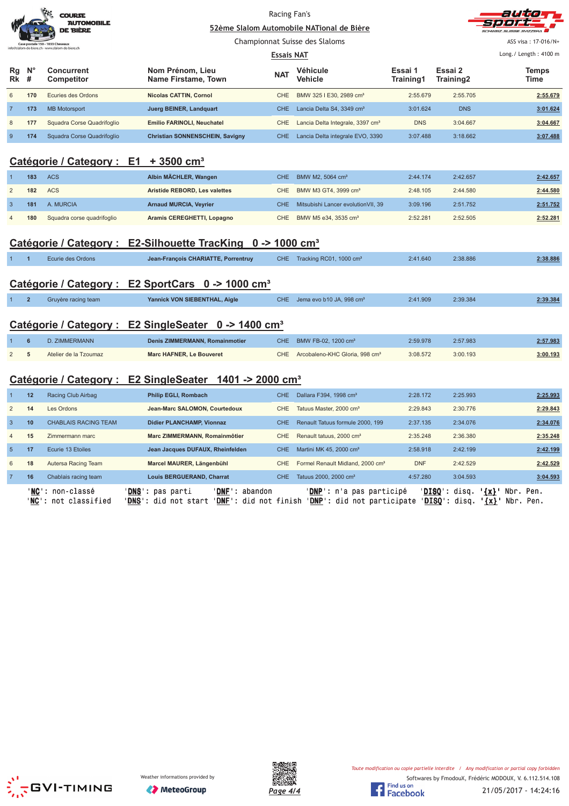|                                                                         |                                                                     | <b>COURSE</b><br><b>AUTOMOBILE</b><br>DE BIÈRE                      |                                                                  | Racing Fan's                    | 52ème Slalom Automobile NATional de Bière    |                      |                      | autio                                        |  |  |  |  |
|-------------------------------------------------------------------------|---------------------------------------------------------------------|---------------------------------------------------------------------|------------------------------------------------------------------|---------------------------------|----------------------------------------------|----------------------|----------------------|----------------------------------------------|--|--|--|--|
|                                                                         |                                                                     | stale 150 - 1033 Cheseaux<br>m-de-biere.ch - www.slalom-de-biere.ch |                                                                  |                                 | Championnat Suisse des Slaloms               |                      |                      | ASS visa: 17-016/N+<br>Long./ Length: 4100 m |  |  |  |  |
| Rg<br>Rk                                                                | $N^{\circ}$<br>#                                                    | <b>Concurrent</b><br><b>Competitor</b>                              | Nom Prénom, Lieu<br>Name Firstame, Town                          | <b>Essais NAT</b><br><b>NAT</b> | Véhicule<br><b>Vehicle</b>                   | Essai 1<br>Training1 | Essai 2<br>Training2 | <b>Temps</b><br>Time                         |  |  |  |  |
| 6                                                                       | 170                                                                 | Ecuries des Ordons                                                  | <b>Nicolas CATTIN, Cornol</b>                                    | <b>CHE</b>                      | BMW 325 I E30, 2989 cm <sup>3</sup>          | 2:55.679             | 2:55.705             | 2:55.679                                     |  |  |  |  |
| $\overline{7}$                                                          | 173                                                                 | <b>MB Motorsport</b>                                                | Juerg BEINER, Landquart                                          | <b>CHE</b>                      | Lancia Delta S4, 3349 cm <sup>3</sup>        | 3:01.624             | <b>DNS</b>           | 3:01.624                                     |  |  |  |  |
| 8                                                                       | 177                                                                 | Squadra Corse Quadrifoglio                                          | Emilio FARINOLI, Neuchatel                                       | CHE                             | Lancia Delta Integrale, 3397 cm <sup>3</sup> | <b>DNS</b>           | 3:04.667             | 3:04.667                                     |  |  |  |  |
| 9                                                                       | 174                                                                 | Squadra Corse Quadrifoglio                                          | <b>Christian SONNENSCHEIN, Savigny</b>                           | <b>CHE</b>                      | Lancia Delta integrale EVO, 3390             | 3:07.488             | 3:18.662             | 3:07.488                                     |  |  |  |  |
| Catégorie / Category : E1 + 3500 cm <sup>3</sup>                        |                                                                     |                                                                     |                                                                  |                                 |                                              |                      |                      |                                              |  |  |  |  |
| -1                                                                      | 183                                                                 | <b>ACS</b>                                                          | Albin MÄCHLER, Wangen                                            | <b>CHE</b>                      | BMW M2, 5064 cm <sup>3</sup>                 | 2:44.174             | 2:42.657             | 2:42.657                                     |  |  |  |  |
| $\overline{c}$                                                          | 182                                                                 | <b>ACS</b>                                                          | Aristide REBORD, Les valettes                                    | CHE                             | BMW M3 GT4, 3999 cm <sup>3</sup>             | 2:48.105             | 2:44.580             | 2:44.580                                     |  |  |  |  |
| $\mathbf{3}$                                                            | 181                                                                 | A. MURCIA                                                           | <b>Arnaud MURCIA, Veyrier</b>                                    | <b>CHE</b>                      | Mitsubishi Lancer evolution VII, 39          | 3:09.196             | 2:51.752             | 2:51.752                                     |  |  |  |  |
| $\overline{4}$                                                          | 180                                                                 | Squadra corse quadrifoglio                                          | Aramis CEREGHETTI, Lopagno                                       | <b>CHE</b>                      | BMW M5 e34, 3535 cm <sup>3</sup>             | 2:52.281             | 2:52.505             | 2:52.281                                     |  |  |  |  |
| Catégorie / Category : E2-Silhouette TracKing 0 -> 1000 cm <sup>3</sup> |                                                                     |                                                                     |                                                                  |                                 |                                              |                      |                      |                                              |  |  |  |  |
| $\mathbf{1}$                                                            | $\overline{1}$                                                      | Ecurie des Ordons                                                   | Jean-François CHARIATTE, Porrentruy                              | CHE.                            | Tracking RC01, 1000 cm <sup>3</sup>          | 2:41.640             | 2:38.886             | 2:38.886                                     |  |  |  |  |
|                                                                         |                                                                     |                                                                     | Catégorie / Category : E2 SportCars 0 -> 1000 cm <sup>3</sup>    |                                 |                                              |                      |                      |                                              |  |  |  |  |
| $\mathbf{1}$                                                            | $\overline{2}$                                                      | Gruyère racing team                                                 | Yannick VON SIEBENTHAL, Aigle                                    | CHE.                            | Jema evo b10 JA, 998 cm <sup>3</sup>         | 2:41.909             | 2:39.384             | 2:39.384                                     |  |  |  |  |
|                                                                         |                                                                     |                                                                     | Catégorie / Category : E2 SingleSeater 0 -> 1400 cm <sup>3</sup> |                                 |                                              |                      |                      |                                              |  |  |  |  |
|                                                                         | $\bf 6$                                                             | D. ZIMMERMANN                                                       | Denis ZIMMERMANN, Romainmotier                                   | <b>CHE</b>                      | BMW FB-02, 1200 cm <sup>3</sup>              | 2:59.978             | 2:57.983             | 2:57.983                                     |  |  |  |  |
| $\overline{2}$                                                          | 5                                                                   | Atelier de la Tzoumaz                                               | Marc HAFNER, Le Bouveret                                         | CHE                             | Arcobaleno-KHC Gloria, 998 cm <sup>3</sup>   | 3:08.572             | 3:00.193             | 3:00.193                                     |  |  |  |  |
|                                                                         | Catégorie / Category : E2 SingleSeater 1401 -> 2000 cm <sup>3</sup> |                                                                     |                                                                  |                                 |                                              |                      |                      |                                              |  |  |  |  |
| $\overline{1}$                                                          | 12                                                                  | Racing Club Airbag                                                  | <b>Philip EGLI, Rombach</b>                                      | CHE.                            | Dallara F394, 1998 cm <sup>3</sup>           | 2:28.172             | 2:25.993             | 2:25.993                                     |  |  |  |  |
| $\overline{2}$                                                          | 14                                                                  | Les Ordons                                                          | Jean-Marc SALOMON, Courtedoux                                    | CHE                             | Tatuus Master, 2000 cm <sup>3</sup>          | 2:29.843             | 2:30.776             | 2:29.843                                     |  |  |  |  |
| $\mathbf{3}$                                                            | 10                                                                  | <b>CHABLAIS RACING TEAM</b>                                         | Didier PLANCHAMP, Vionnaz                                        | <b>CHE</b>                      | Renault Tatuus formule 2000, 199             | 2:37.135             | 2:34.076             | 2:34.076                                     |  |  |  |  |
| 4                                                                       | 15                                                                  | Zimmermann marc                                                     | Marc ZIMMERMANN, Romainmôtier                                    | CHE                             | Renault tatuus, 2000 cm <sup>3</sup>         | 2:35.248             | 2:36.380             | 2:35.248                                     |  |  |  |  |
| $5\phantom{.0}$                                                         | 17                                                                  | Ecurie 13 Etoiles                                                   | Jean Jacques DUFAUX, Rheinfelden                                 | <b>CHE</b>                      | Martini MK 45, 2000 cm <sup>3</sup>          | 2:58.918             | 2:42.199             | 2:42.199                                     |  |  |  |  |
| 6                                                                       | 18                                                                  | Autersa Racing Team                                                 | Marcel MAURER, Längenbühl                                        | <b>CHE</b>                      | Formel Renault Midland, 2000 cm <sup>3</sup> | <b>DNF</b>           | 2:42.529             | 2:42.529                                     |  |  |  |  |







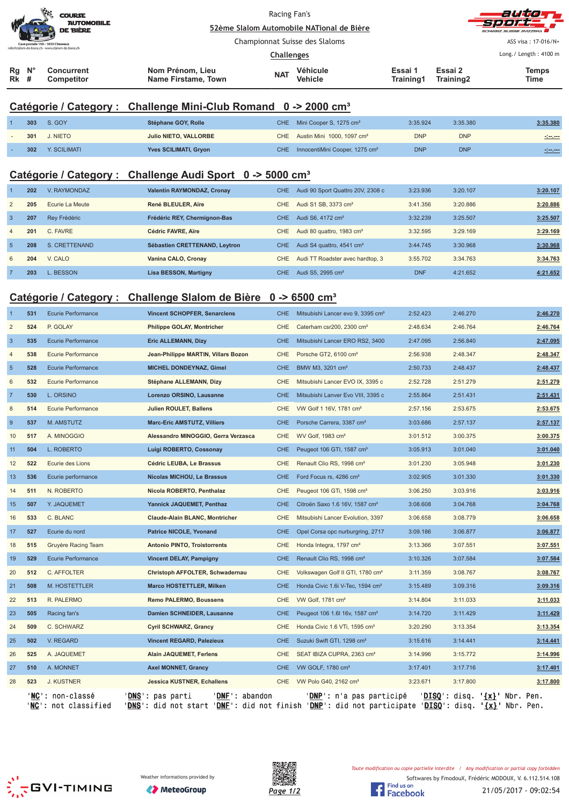| $\mathcal{L}$<br><b>COURSE</b><br><b>AUTOMOBILE</b><br><b>DE BIÈRE</b><br>Case postale 150 - 1033 Cheseaux<br>info@slalom-de-biere.ch - www.slalom-de-biere.ch |  |                                        | Racing Fan's<br>52ème Slalom Automobile NATional de Bière |            |                     |                      | autom<br>-51001 C<br>SCHWEIZ SUISSE SVIZZEDA |                                              |
|----------------------------------------------------------------------------------------------------------------------------------------------------------------|--|----------------------------------------|-----------------------------------------------------------|------------|---------------------|----------------------|----------------------------------------------|----------------------------------------------|
|                                                                                                                                                                |  |                                        | Championnat Suisse des Slaloms<br><b>Challenges</b>       |            |                     |                      |                                              | ASS visa: 17-016/N+<br>Long./ Length: 4100 m |
| $N^{\circ}$<br>Rg<br><b>Rk</b> #                                                                                                                               |  | <b>Concurrent</b><br><b>Competitor</b> | Nom Prénom, Lieu<br>Name Firstame, Town                   | <b>NAT</b> | Véhicule<br>Vehicle | Essai 1<br>Training1 | Essai 2<br>Training2                         | <b>Temps</b><br><b>Time</b>                  |

#### **Catégorie / Category : Challenge Mini-Club Romand 0 -> 2000 cm³**

| 303 | S. GOY       | Stéphane GOY, Rolle          | CHE Mini Cooper S, 1275 cm <sup>3</sup>        | 3:35.924   | 3:35.380   | 3:35.380           |
|-----|--------------|------------------------------|------------------------------------------------|------------|------------|--------------------|
| 301 | J. NIETO     | <b>Julio NIETO, VALLORBE</b> | CHE Austin Mini 1000, 1097 cm <sup>3</sup>     | <b>DNP</b> | <b>DNP</b> |                    |
| 302 | Y. SCILIMATI | Yves SCILIMATI, Gryon        | CHE InnocentiMini Cooper, 1275 cm <sup>3</sup> | <b>DNP</b> | <b>DNP</b> | <u> 1000 - 100</u> |

## **Catégorie / Category : Challenge Audi Sport 0 -> 5000 cm³**

|                | 202 | V. RAYMONDAZ    | Valentin RAYMONDAZ, Cronay    | CHE.       | Audi 90 Sport Quattro 20V, 2308 c     | 3:23.936   | 3:20.107 | 3:20.107 |
|----------------|-----|-----------------|-------------------------------|------------|---------------------------------------|------------|----------|----------|
| 2              | 205 | Ecurie La Meute | René BLEULER, Aïre            | CHE.       | Audi S1 SB, 3373 cm <sup>3</sup>      | 3:41.356   | 3:20.886 | 3:20.886 |
| $\overline{3}$ | 207 | Rev Frédéric    | Frédéric REY, Chermignon-Bas  | CHE.       | Audi S6, 4172 cm <sup>3</sup>         | 3:32.239   | 3:25.507 | 3:25.507 |
| $\overline{4}$ | 201 | C. FAVRE        | Cédric FAVRE, Aïre            | <b>CHE</b> | Audi 80 quattro, 1983 cm <sup>3</sup> | 3:32.595   | 3:29.169 | 3:29.169 |
| 5              | 208 | S. CRETTENAND   | Sébastien CRETTENAND, Leytron | CHE.       | Audi S4 quattro, 4541 cm <sup>3</sup> | 3:44.745   | 3:30.968 | 3:30.968 |
| 6              | 204 | V. CALO         | Vanina CALO, Cronay           | CHE.       | Audi TT Roadster avec hardtop, 3      | 3:55.702   | 3:34.763 | 3:34.763 |
|                | 203 | BESSON          | <b>Lisa BESSON, Martigny</b>  | CHE.       | Audi S5, 2995 cm <sup>3</sup>         | <b>DNF</b> | 4:21.652 | 4:21.652 |

#### **Catégorie / Category : Challenge Slalom de Bière 0 -> 6500 cm³**

| $\overline{1}$ | 531 | <b>Ecurie Performance</b>                | <b>Vincent SCHOPFER, Senarclens</b>                                                                                                           | CHE        | Mitsubishi Lancer evo 9, 3395 cm <sup>3</sup> | 2:52.423 | 2:46.270 |                                                 | 2:46.270        |
|----------------|-----|------------------------------------------|-----------------------------------------------------------------------------------------------------------------------------------------------|------------|-----------------------------------------------|----------|----------|-------------------------------------------------|-----------------|
| $\overline{2}$ | 524 | P. GOLAY                                 | <b>Philippe GOLAY, Montricher</b>                                                                                                             | <b>CHE</b> | Caterham csr200, 2300 cm <sup>3</sup>         | 2:48.634 | 2:46.764 |                                                 | 2:46.764        |
| $\mathbf{3}$   | 535 | <b>Ecurie Performance</b>                | <b>Eric ALLEMANN, Dizy</b>                                                                                                                    | <b>CHE</b> | Mitsubishi Lancer ERO RS2, 3400               | 2:47.095 | 2:56.840 |                                                 | 2:47.095        |
| 4              | 538 | Ecurie Performance                       | Jean-Philippe MARTIN, Villars Bozon                                                                                                           | <b>CHE</b> | Porsche GT2, 6100 cm <sup>3</sup>             | 2:56.938 | 2:48.347 |                                                 | 2:48.347        |
| $\overline{5}$ | 528 | <b>Ecurie Performance</b>                | MICHEL DONDEYNAZ, Gimel                                                                                                                       | <b>CHE</b> | BMW M3, 3201 cm <sup>3</sup>                  | 2:50.733 | 2:48.437 |                                                 | 2:48.437        |
| 6              | 532 | <b>Ecurie Performance</b>                | Stéphane ALLEMANN, Dizy                                                                                                                       | <b>CHE</b> | Mitsubishi Lancer EVO IX, 3395 c              | 2:52.728 | 2:51.279 |                                                 | 2:51.279        |
| $\overline{7}$ | 530 | L. ORSINO                                | Lorenzo ORSINO, Lausanne                                                                                                                      | <b>CHE</b> | Mitsubishi Lanver Evo VIII, 3395 c            | 2:55.864 | 2:51.431 |                                                 | 2:51.431        |
| 8              | 514 | <b>Ecurie Performance</b>                | <b>Julien ROULET, Ballens</b>                                                                                                                 | <b>CHE</b> | VW Golf 1 16V, 1781 cm <sup>3</sup>           | 2:57.156 | 2:53.675 |                                                 | 2:53.675        |
| 9              | 537 | M. AMSTUTZ                               | <b>Marc-Eric AMSTUTZ, Villiers</b>                                                                                                            | <b>CHE</b> | Porsche Carrera, 3387 cm <sup>3</sup>         | 3:03.686 | 2:57.137 |                                                 | 2:57.137        |
| 10             | 517 | A. MINOGGIO                              | Alessandro MINOGGIO, Gerra Verzasca                                                                                                           | <b>CHE</b> | WV Golf, 1983 cm <sup>3</sup>                 | 3:01.512 | 3:00.375 |                                                 | 3:00.375        |
| 11             | 504 | L. ROBERTO                               | Luigi ROBERTO, Cossonay                                                                                                                       | <b>CHE</b> | Peugeot 106 GTI, 1587 cm <sup>3</sup>         | 3:05.913 | 3:01.040 |                                                 | 3:01.040        |
| 12             | 522 | Ecurie des Lions                         | Cédric LEUBA, Le Brassus                                                                                                                      | <b>CHE</b> | Renault Clio RS, 1998 cm <sup>3</sup>         | 3:01.230 | 3:05.948 |                                                 | 3:01.230        |
| 13             | 536 | Ecurie performance                       | <b>Nicolas MICHOU, Le Brassus</b>                                                                                                             | <b>CHE</b> | Ford Focus rs, 4286 cm <sup>3</sup>           | 3:02.905 | 3:01.330 |                                                 | 3:01.330        |
| 14             | 511 | N. ROBERTO                               | Nicola ROBERTO, Penthalaz                                                                                                                     | <b>CHE</b> | Peugeot 106 GTi, 1598 cm <sup>3</sup>         | 3:06.250 | 3:03.916 |                                                 | 3:03.916        |
| 15             | 507 | Y. JAQUEMET                              | Yannick JAQUEMET, Penthaz                                                                                                                     | <b>CHE</b> | Citroën Saxo 1.6 16V, 1587 cm <sup>3</sup>    | 3:08.608 | 3:04.768 |                                                 | 3:04.768        |
| 16             | 533 | C. BLANC                                 | <b>Claude-Alain BLANC, Montricher</b>                                                                                                         | <b>CHE</b> | Mitsubishi Lancer Evolution, 3397             | 3:06.658 | 3:08.779 |                                                 | 3:06.658        |
| 17             | 527 | Ecurie du nord                           | <b>Patrice NICOLE, Yvonand</b>                                                                                                                | <b>CHE</b> | Opel Corsa opc nurburgring, 2717              | 3:09.186 | 3:06.877 |                                                 | 3:06.877        |
| 18             | 515 | Gruyère Racing Team                      | <b>Antonio PINTO, Troistorrents</b>                                                                                                           | <b>CHE</b> | Honda Integra, 1797 cm <sup>3</sup>           | 3:13.366 | 3:07.551 |                                                 | 3:07.551        |
| 19             | 529 | <b>Ecurie Performance</b>                | <b>Vincent DELAY, Pampigny</b>                                                                                                                | <b>CHE</b> | Renault Clio RS, 1998 cm <sup>3</sup>         | 3:10.326 | 3:07.584 |                                                 | 3:07.584        |
| 20             | 512 | C. AFFOLTER                              | Christoph AFFOLTER, Schwadernau                                                                                                               | <b>CHE</b> | Volkswagen Golf II GTI, 1780 cm <sup>3</sup>  | 3:11.359 | 3:08.767 |                                                 | 3:08.767        |
| 21             | 508 | M. HOSTETTLER                            | <b>Marco HOSTETTLER, Milken</b>                                                                                                               | <b>CHE</b> | Honda Civic 1.6i V-Tec, 1594 cm <sup>3</sup>  | 3:15.489 | 3:09.316 |                                                 | 3:09.316        |
| 22             | 513 | R. PALERMO                               | <b>Remo PALERMO, Boussens</b>                                                                                                                 | <b>CHE</b> | VW Golf, 1781 cm <sup>3</sup>                 | 3:14.804 | 3:11.033 |                                                 | 3:11.033        |
| 23             | 505 | Racing fan's                             | Damien SCHNEIDER, Lausanne                                                                                                                    | <b>CHE</b> | Peugeot 106 1.6l 16v, 1587 cm <sup>3</sup>    | 3:14.720 | 3:11.429 |                                                 | 3:11.429        |
| 24             | 509 | C. SCHWARZ                               | <b>Cyril SCHWARZ, Grancy</b>                                                                                                                  | <b>CHE</b> | Honda Civic 1.6 VTi, 1595 cm <sup>3</sup>     | 3:20.290 | 3:13.354 |                                                 | 3:13.354        |
| 25             | 502 | V. REGARD                                | <b>Vincent REGARD, Palezieux</b>                                                                                                              | <b>CHE</b> | Suzuki Swift GTI, 1298 cm <sup>3</sup>        | 3:15.616 | 3:14.441 |                                                 | 3:14.441        |
| 26             | 525 | A. JAQUEMET                              | Alain JAQUEMET, Ferlens                                                                                                                       | <b>CHE</b> | SEAT IBIZA CUPRA, 2363 cm <sup>3</sup>        | 3:14.996 | 3:15.772 |                                                 | 3:14.996        |
| 27             | 510 | A. MONNET                                | <b>Axel MONNET, Grancy</b>                                                                                                                    | CHE        | VW GOLF, 1780 cm <sup>3</sup>                 | 3:17.401 | 3:17.716 |                                                 | <u>3:17.401</u> |
| 28             | 523 | J. KUSTNER                               | <b>Jessica KUSTNER, Echallens</b>                                                                                                             | CHE.       | VW Polo G40, 2162 cm <sup>3</sup>             | 3:23.671 | 3:17.800 |                                                 | 3:17.800        |
|                |     | 'NC': non-classé<br>'NC': not classified | 'DNF': abandon<br>' <b>DNS</b> ': pas parti<br>'DNS': did not start 'DNE': did not finish 'DNP': did not participate 'DISQ': disq. '{X}' Nbr. |            | ' <b>DNP</b> ': n'a pas participé             |          |          | ' <u>DISO</u> ': disq. ' <u>{x}</u> ' Nbr. Pen. | Pen.            |